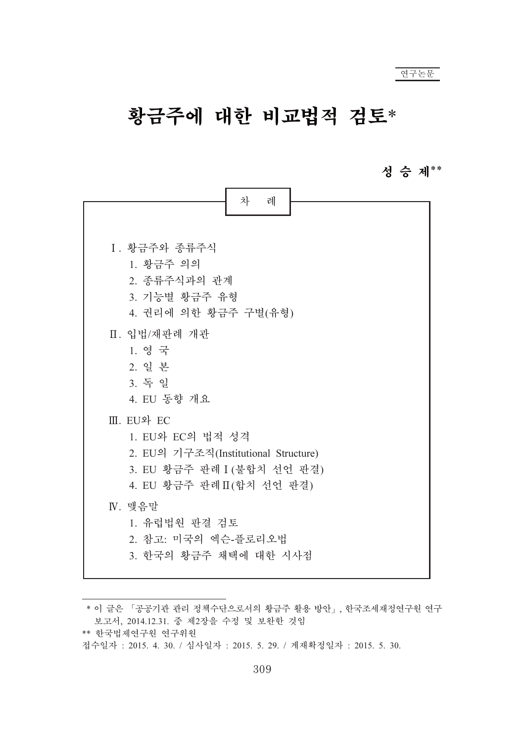# 황금주에 대한 비교법적 검토\*

# 성 승 제\*\*

| 차<br>례                                                                                                                           |
|----------------------------------------------------------------------------------------------------------------------------------|
| I. 황금주와 종류주식<br>1. 황금주 의의<br>2. 종류주식과의 관계<br>3. 기능별 황금주 유형<br>4. 권리에 의한 황금주 구별(유형)                                               |
| Ⅱ. 입법/재판례 개관<br>1. 영 국<br>2. 일본<br>3. 독일<br>4. EU 동향 개요                                                                          |
| III. EU와 EC<br>1. EU와 EC의 법적 성격<br>2. EU의 기구조직(Institutional Structure)<br>3. EU 황금주 판례 I (불합치 선언 판결)<br>4. EU 황금주 판례Ⅱ(합치 선언 판결) |
| IV. 맺음말<br>1. 유럽법원 판결 검토<br>2. 참고: 미국의 엑슨-플로리오법<br>3. 한국의 황금주 채택에 대한 시사점                                                         |

<sup>\*</sup> 이 글은 「공공기관 관리 정책수단으로서의 황금주 활용 방안」, 한국조세재정연구원 연구 보고서, 2014.12.31. 중 제2장을 수정 및 보완한 것임

<sup>\*\*</sup> 한국법제연구원 연구위원

접수일자: 2015. 4. 30. / 심사일자: 2015. 5. 29. / 게재확정일자: 2015. 5. 30.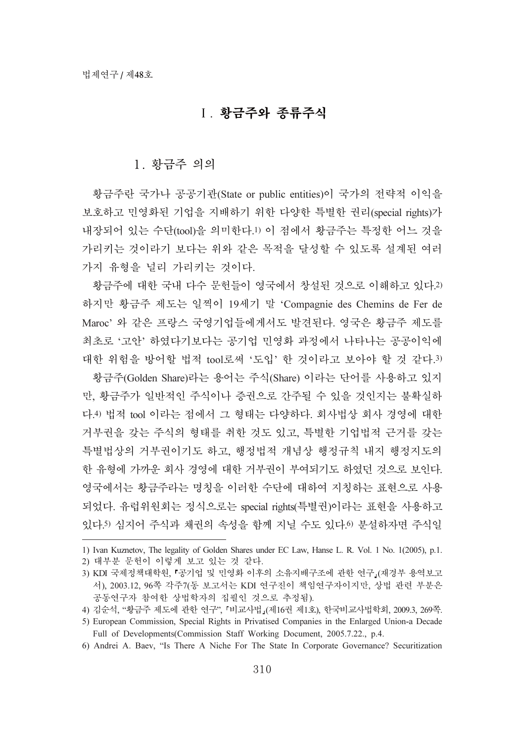# 1. 황금주와 종류주식

### 1. 황금주 의의

황금주란 국가나 공공기관(State or public entities)이 국가의 전략적 이익을 보호하고 민영화된 기업을 지배하기 위한 다양한 특별한 권리(special rights)가 내장되어 있는 수단(tool)을 의미한다.1) 이 점에서 황금주는 특정한 어느 것을 가리키는 것이라기 보다는 위와 같은 목적을 달성할 수 있도록 설계된 여러 가지 유형을 널리 가리키는 것이다.

황금주에 대한 국내 다수 문헌들이 영국에서 창설된 것으로 이해하고 있다.2) 하지만 황금주 제도는 일찍이 19세기 말 'Compagnie des Chemins de Fer de Maroc' 와 같은 프랑스 국영기업들에게서도 발견된다. 영국은 황금주 제도를 최초로 '고안' 하였다기보다는 공기업 민영화 과정에서 나타나는 공공이익에 대한 위험을 방어할 법적 tool로써 '도입' 한 것이라고 보아야 할 것 같다.3) 황금주(Golden Share)라는 용어는 주식(Share) 이라는 단어를 사용하고 있지

만, 황금주가 일반적인 주식이나 증권으로 간주될 수 있을 것인지는 불확실하 다.4) 법적 tool 이라는 점에서 그 형태는 다양하다. 회사법상 회사 경영에 대한 거부권을 갖는 주식의 형태를 취한 것도 있고, 특별한 기업법적 근거를 갖는 특별법상의 거부권이기도 하고, 행정법적 개념상 행정규칙 내지 행정지도의 한 유형에 가까운 회사 경영에 대한 거부권이 부여되기도 하였던 것으로 보인다. 영국에서는 황금주라는 명칭을 이러한 수단에 대하여 지칭하는 표현으로 사용 되었다. 유럽위원회는 정식으로는 special rights(특별권)이라는 표현을 사용하고 있다.5) 심지어 주식과 채권의 속성을 함께 지닐 수도 있다.6) 분설하자면 주식일

1) Ivan Kuznetov, The legality of Golden Shares under EC Law, Hanse L. R. Vol. 1 No. 1(2005), p.1.

2) 대부분 문헌이 이렇게 보고 있는 것 같다.

6) Andrei A. Baev, "Is There A Niche For The State In Corporate Governance? Securitization

<sup>3)</sup> KDI 국제정책대학원, '공기업 및 민영화 이후의 소유지배구조에 관한 연구』(재경부 용역보고 서), 2003.12, 96쪽 각주7(동 보고서는 KDI 연구진이 책임연구자이지만, 상법 관련 부분은 공동연구자 참여한 상법학자의 집필인 것으로 추정됨).

<sup>4)</sup> 김순석, "황금주 제도에 관한 연구", 『비교사법』(제16권 제1호), 한국비교사법학회, 2009.3, 269쪽.

<sup>5)</sup> European Commission, Special Rights in Privatised Companies in the Enlarged Union-a Decade Full of Developments(Commission Staff Working Document, 2005.7.22., p.4.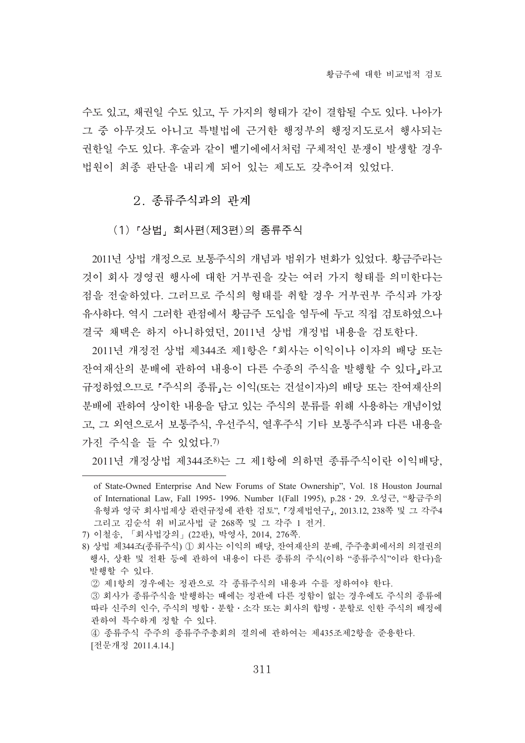수도 있고, 채권일 수도 있고, 두 가지의 형태가 같이 결합될 수도 있다. 나아가 그 중 아무것도 아니고 특별법에 근거한 행정부의 행정지도로서 행사되는 권한일 수도 있다. 후술과 같이 벨기에에서처럼 구체적인 분쟁이 발생할 경우 법원이 최종 판단을 내리게 되어 있는 제도도 갖추어져 있었다.

# 2. 종류주식과의 관계

(1)『상법』회사편(제3편)의 종류주식

2011년 상법 개정으로 보통주식의 개념과 범위가 변화가 있었다. 황금주라는 것이 회사 경영권 행사에 대한 거부권을 갖는 여러 가지 형태를 의미한다는 점을 전술하였다. 그러므로 주식의 형태를 취할 경우 거부권부 주식과 가장 유사하다. 역시 그러한 관점에서 황금주 도입을 염두에 두고 직접 검토하였으나 결국 채택은 하지 아니하였던, 2011년 상법 개정법 내용을 검토한다.

2011년 개정전 상법 제344조 제1항은 『회사는 이익이나 이자의 배당 또는 잔여재산의 분배에 관하여 내용이 다른 수종의 주식을 발행할 수 있다」라고 규정하였으므로 「주식의 종류」는 이익(또는 건설이자)의 배당 또는 잔여재산의 분배에 관하여 상이한 내용을 담고 있는 주식의 분류를 위해 사용하는 개념이었 고, 그 외연으로서 보통주식, 우선주식, 열후주식 기타 보통주식과 다른 내용을 가진 주식을 들 수 있었다.7)

2011년 개정상법 제344조8)는 그 제1항에 의하면 종류주식이란 이익배당,

② 제1항의 경우에는 정관으로 각 종류주식의 내용과 수를 정하여야 한다.

of State-Owned Enterprise And New Forums of State Ownership", Vol. 18 Houston Journal of International Law, Fall 1995- 1996. Number 1(Fall 1995), p.28 · 29. 오성근, "황금주의 유형과 영국 회사법제상 관련규정에 관한 검토", 『경제법연구』, 2013.12, 238쪽 및 그 각주4 그리고 김순석 위 비교사법 글 268쪽 및 그 각주 1 전거.

<sup>7)</sup> 이철송, 「회사법강의」(22판), 박영사, 2014, 276쪽.

<sup>8)</sup> 상법 제344조(종류주식) ① 회사는 이익의 배당, 잔여재산의 분배, 주주총회에서의 의결권의 행사, 상환 및 전환 등에 관하여 내용이 다른 종류의 주식(이하 "종류주식"이라 한다)을 발행할 수 있다.

③ 회사가 종류주식을 발행하는 때에는 정관에 다른 정함이 없는 경우에도 주식의 종류에 따라 신주의 인수, 주식의 병합 · 분할 · 소각 또는 회사의 합병 · 분할로 인한 주식의 배정에 관하여 특수하게 정할 수 있다.

<sup>4)</sup> 종류주식 주주의 종류주주총회의 결의에 관하여는 제435조제2항을 준용한다. [전문개정 2011.4.14.]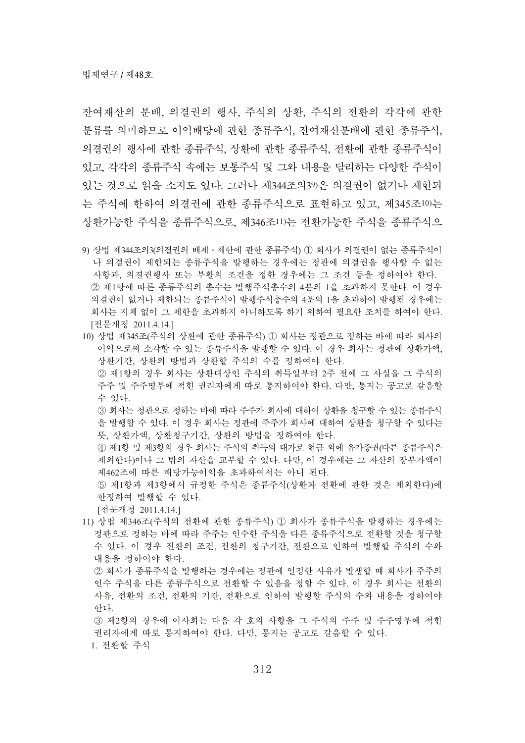장여재상의 분배, 의결권의 행사, 주식의 상화, 주식의 정화의 각각에 관한 분류를 의미하므로 이익배당에 관한 종류주식, 잔여재산분배에 관한 종류주식, 의결권의 행사에 관한 종류에 관한 종류주식, 전환에 관한 종류주식이 있고, 각각의 종류주식 수 본통주식 및 그와 내용을 달리하는 다양한 주식이 있는 것으로 읽을 소지도 있다. 그러나 제344조의39)은 의결권이 없거나 제한되 는 주식에 한하여 의결권에 관한 종류주식으로 표현하고 있고, 제345조10)는 상환가능한 주식을 종류주식으로, 제346조11)는 전환가능한 주식을 종류주식으

10) 상법 제345조(주식의 상환에 관한 종류주식) ① 회사는 정관으로 정하는 바에 따라 회사의 이익으로써 소각할 수 있는 종류주식을 발행할 수 있다. 이 경우 회사는 정관에 상환가액. 상환기간, 상환의 방법과 상환할 주식의 수를 정하여야 한다. ② 제1항의 경우 회사는 상환대상인 주식의 취득일부터 2주 전에 그 사실을 그 주식의

주주 및 주주명부에 적힌 권리자에게 따로 통지하여야 한다. 다만, 통지는 공고로 갈음할 수 있다.

③ 회사는 정관으로 정하는 바에 따라 주주가 회사에 대하여 상환을 청구할 수 있는 종류주식 을 발행할 수 있다. 이 경우 회사는 정관에 주주가 회사에 대하여 상환을 청구할 수 있다는 뜻, 상환가액, 상환청구기간, 상환의 방법을 정하여야 한다.

4) 제1항 및 제3항의 경우 회사는 주식의 취득의 대가로 현금 외에 유가증권(다른 종류주식은 제외한다)이나 그 밖의 자산을 교부할 수 있다. 다만, 이 경우에는 그 자산의 장부가액이 제462조에 따른 배당가능이익을 초과하여서는 아니 된다.

⑤ 제1항과 제3항에서 규정한 주식은 종류주식(상환과 전환에 관한 것은 제외한다)에 한정하여 발행할 수 있다.

[전문개정 2011.4.14.]

11) 상법 제346조(주식의 전환에 관한 종류주식) ① 회사가 종류주식을 발행하는 경우에는 정관으로 정하는 바에 따라 주주는 인수한 주식을 다른 종류주식으로 전환할 것을 청구할 수 있다. 이 경우 전환의 조건, 전환기간, 전환으로 인하여 발행할 주식의 수와 내용을 정하여야 한다.

② 회사가 종류주식을 발행하는 경우에는 정관에 일정한 사유가 발생할 때 회사가 주주의 인수 주식을 다른 종류주식으로 전환할 수 있음을 정할 수 있다. 이 경우 회사는 전환의 사유, 전환의 조건, 전환의 기간, 전환으로 인하여 발행할 주식의 수와 내용을 정하여야 하다.

③ 제2항의 경우에 이사회는 다음 각 호의 사항을 그 주식의 주주 및 주주명부에 적힌 권리자에게 따로 통지하여야 한다. 다만, 통지는 공고로 갈음할 수 있다. 1. 전환할 주식

<sup>9)</sup> 상법 제344조의3(의결권의 배제 · 제한에 관한 종류주식) ① 회사가 의결권이 없는 종류주식이 나 의결권이 제한되는 종류주식을 발행하는 경우에는 정관에 의결권을 행사할 수 없는 사항과, 의결권행사 또는 부활의 조건을 정한 경우에는 그 조건 등을 정하여야 한다. ② 제1항에 따른 좃류주식의 촛수는 발해주식촛수의 4분의 1을 초과하지 못하다. 이 경우 의결권이 없거나 제한되는 종류주식이 발행주식총수의 4분의 1을 초과하여 발행된 경우에는 회사는 지체 없이 그 제한을 초과하지 아니하도록 하기 위하여 필요한 조치를 하여야 한다. [전문개정 2011.4.14.]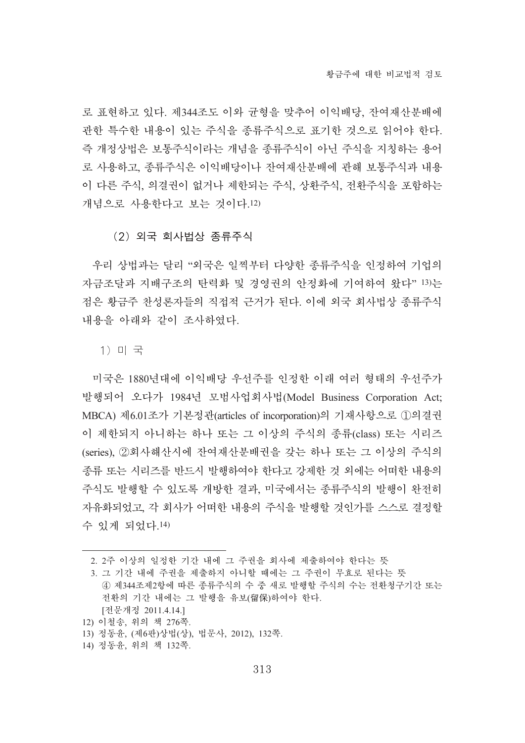로 표현하고 있다. 제344조도 이와 균형을 맞추어 이익배당. 잔여재산분배에 관한 특수한 내용이 있는 주식을 종류주식으로 표기한 것으로 읽어야 한다. 즉 개정상법은 보통주식이라는 개념을 종류주식이 아닌 주식을 지칭하는 용어 로 사용하고, 종류주식은 이익배당이나 잔여재산분배에 관해 보통주식과 내용 이 다른 주식, 의결권이 없거나 제한되는 주식, 상환주식, 전환주식을 포함하는 개념으로 사용한다고 보는 것이다.12)

# (2) 외국 회사법상 종류주식

우리 상법과는 달리 "외국은 일찍부터 다양한 종류주식을 인정하여 기업의 자금조달과 지배구조의 탄력화 및 경영권의 안정화에 기여하여 왔다" 13)는 점은 황금주 찬성론자들의 직접적 근거가 된다. 이에 외국 회사법상 종류주식 내용을 아래와 같이 조사하였다.

1) 미 국

미국은 1880년대에 이익배당 우선주를 인정한 이래 여러 형태의 우선주가 발행되어 오다가 1984년 모범사업회사법(Model Business Corporation Act; MBCA) 제6.01조가 기본정관(articles of incorporation)의 기재사항으로 ①의결권 이 제한되지 아니하는 하나 또는 그 이상의 주식의 종류(class) 또는 시리즈 (series), 2회사해산시에 잔여재산분배권을 갖는 하나 또는 그 이상의 주식의 종류 또는 시리즈를 반드시 발행하여야 한다고 강제한 것 외에는 어떠한 내용의 주식도 발행할 수 있도록 개방한 결과, 미국에서는 종류주식의 발행이 완전히 자유화되었고, 각 회사가 어떠한 내용의 주식을 발행할 것인가를 스스로 결정할 수 있게 되었다.14)

<sup>2. 2</sup>주 이상의 일정한 기간 내에 그 주권을 회사에 제출하여야 한다는 뜻

<sup>3.</sup> 그 기간 내에 주권을 제출하지 아니할 때에는 그 주권이 무효로 된다는 뜻 4) 제344조제2항에 따른 종류주식의 수 중 새로 발행할 주식의 수는 전환청구기간 또는 전환의 기간 내에는 그 발행을 유보(留保)하여야 한다. [전문개정 2011.4.14.]

<sup>12)</sup> 이철송, 위의 책 276쪽.

<sup>13)</sup> 정동윤, (제6판)상법(상), 법문사, 2012), 132쪽.

<sup>14)</sup> 정동윤, 위의 책 132쪽.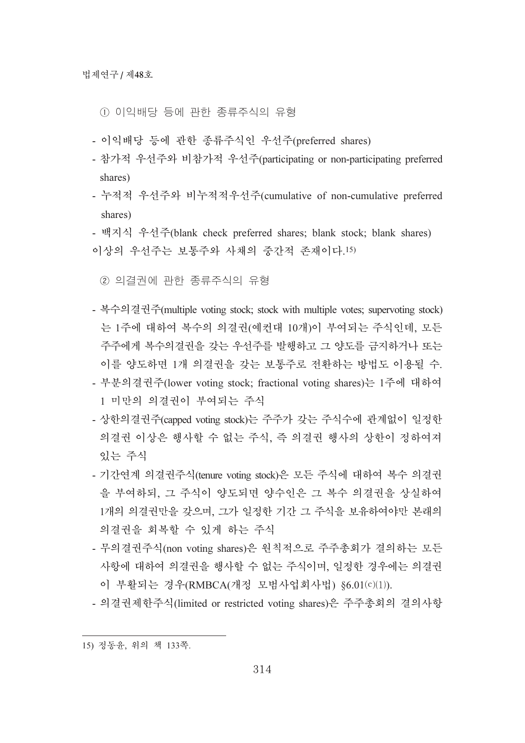- ① 이익배당 등에 관한 종류주식의 유형
- 이익배당 등에 관한 종류주식인 우선주(preferred shares)
- 참가적 우선주와 비참가적 우선주(participating or non-participating preferred shares)
- 누적적 우선주와 비누적적우선주(cumulative of non-cumulative preferred shares)
- 백지식 우선주(blank check preferred shares; blank stock; blank shares) 이상의 우선주는 보통주와 사채의 중간적 존재이다.15)
	- ② 의결권에 관한 종류주식의 유형
- 복수의결권주(multiple voting stock; stock with multiple votes; supervoting stock) 는 1주에 대하여 복수의 의결권(예컨대 10개)이 부여되는 주식인데, 모든 주주에게 복수의결권을 갖는 우선주를 발행하고 그 양도를 금지하거나 또는 이를 양도하면 1개 의결권을 갖는 보통주로 전환하는 방법도 이용될 수.
- 부부의결권주(lower voting stock; fractional voting shares)는 1주에 대하여 1 미만의 의결권이 부여되는 주식
- 상한의결권주(capped voting stock)는 주주가 갖는 주식수에 관계없이 일정한 의결권 이상은 행사할 수 없는 주식, 즉 의결권 행사의 상한이 정하여져 있는 주식
- 기간역계 의결권주식(tenure voting stock)은 모든 주식에 대하여 복수 의결권 을 부여하되, 그 주식이 양도되면 양수인은 그 복수 의결권을 상실하여 1개의 의결권만을 갖으며, 그가 일정한 기간 그 주식을 보유하여야만 본래의 의결권을 회복할 수 있게 하는 주식
- 무의결권주식(non voting shares)은 원칙적으로 주주총회가 결의하는 모든 사항에 대하여 의결권을 행사할 수 없는 주식이며, 일정한 경우에는 의결권 이 부활되는 경우(RMBCA(개정 모범사업회사법) §6.01(c)(1)).
- 의결권제한주식(limited or restricted voting shares)은 주주총회의 결의사항

<sup>15)</sup> 정동윤, 위의 책 133쪽.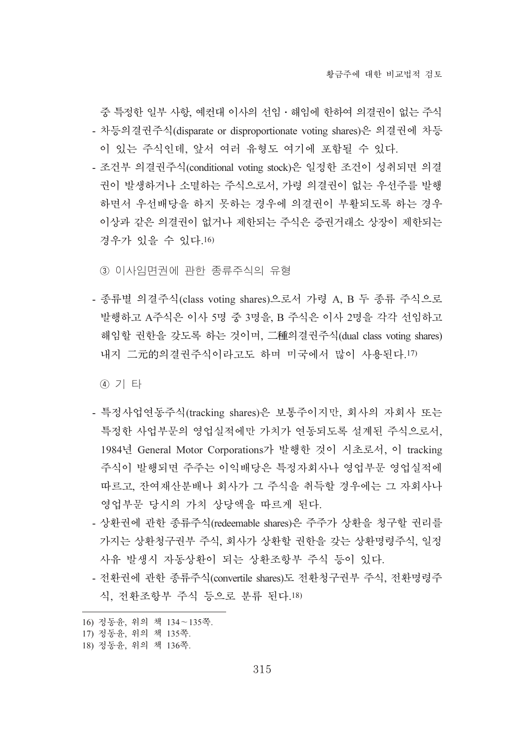중 특정한 일부 사항, 예커대 이사의 서임 · 해임에 한하여 의결권이 없는 주식 - 차등의결권주식(disparate or disproportionate voting shares)은 의결권에 차등 이 있는 주식인데, 앞서 여러 유형도 여기에 포함될 수 있다.

- 조건부 의결권주식(conditional voting stock)은 일정한 조건이 성취되면 의결 권이 발생하거나 소멸하는 주식으로서, 가령 의결권이 없는 우선주를 발행 하면서 우선배당을 하지 못하는 경우에 의결권이 부활되도록 하는 경우 이상과 같은 의결권이 없거나 제한되는 주식은 증권거래소 상장이 제한되는 경우가 있을 수 있다.16)

③ 이사임면권에 관한 종류주식의 유형

- 종류별 의결주식(class voting shares)으로서 가령 A, B 두 종류 주식으로 발행하고 A주식은 이사 5명 중 3명을, B 주식은 이사 2명을 각각 선임하고 해임할 권한을 갖도록 하는 것이며, 二種의결권주식(dual class voting shares) 내지 二元的의결권주식이라고도 하며 미국에서 많이 사용된다.17)

④ 기 타

- 특정사업연동주식(tracking shares)은 보통주이지만, 회사의 자회사 또는 특정한 사업부문의 영업실적에만 가치가 여동되도록 설계된 주식으로서. 1984년 General Motor Corporations가 발행한 것이 시초로서, 이 tracking 주식이 발행되면 주주는 이익배당은 특정자회사나 영업부문 영업실적에 따르고, 잔여재산분배나 회사가 그 주식을 취득할 경우에는 그 자회사나 영업부문 당시의 가치 상당액을 따르게 된다.
- 상환권에 관한 종류주식(redeemable shares)은 주주가 상환을 청구할 권리를 가지는 상환청구권부 주식, 회사가 상환할 권한을 갖는 상환명령주식, 일정 사유 발생시 자동상환이 되는 상환조항부 주식 등이 있다.
- 전환권에 관한 종류주식(convertile shares)도 전환청구권부 주식, 전환명령주 식, 전화조항부 주식 등으로 부류 된다.18)

<sup>16)</sup> 정동윤, 위의 책 134~135쪽.

<sup>17)</sup> 정동윤, 위의 책 135쪽.

<sup>18)</sup> 정동윤, 위의 책 136쪽.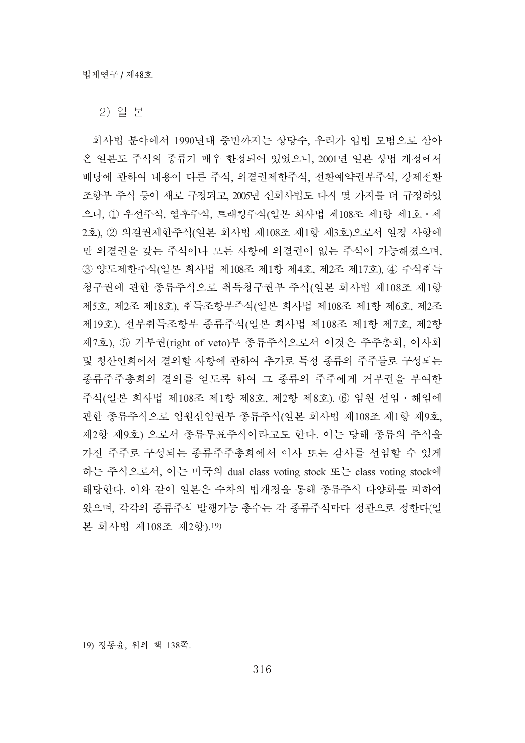2) 일 본

회사법 분야에서 1990년대 중반까지는 상당수, 우리가 입법 모범으로 삼아 온 일본도 주식의 종류가 매우 한정되어 있었으나, 2001년 일본 상법 개정에서 배당에 관하여 내용이 다른 주식, 의결권제한주식, 전환예약권부주식, 강제전환 조항부 주식 등이 새로 규정되고, 2005년 신회사법도 다시 몇 가지를 더 규정하였 으니, ① 우선주식, 열후주식, 트래킹주식(일본 회사법 제108조 제1항 제1호 · 제 2호), ② 의결권제한주식(일본 회사법 제108조 제1항 제3호)으로서 일정 사항에 만 의결권을 갖는 주식이나 모든 사항에 의결권이 없는 주식이 가능해졌으며, 3 양도제한주식(일본 회사법 제108조 제1항 제4호, 제2조 제17호), 42 주식취득 청구권에 관한 종류주식으로 취득청구권부 주식(일본 회사법 제108조 제1항 제5호, 제2조 제18호), 취득조항부주식(일본 회사법 제108조 제1항 제6호, 제2조 제19호), 전부취득조항부 종류주식(일본 회사법 제108조 제1항 제7호, 제2항 제7호), 5 거부권(right of veto)부 종류주식으로서 이것은 주주총회, 이사회 및 청산인회에서 결의할 사항에 관하여 추가로 특정 종류의 주주들로 구성되는 종류주주총회의 결의를 얻도록 하여 그 종류의 주주에게 거부권을 부여한 주식(일본 회사법 제108조 제1항 제8호, 제2항 제8호), ⑥ 임원 선임·해임에 관한 종류주식으로 임원선임권부 종류주식(일본 회사법 제108조 제1항 제9호, 제2항 제9호) 으로서 종류투표주식이라고도 한다. 이는 당해 종류의 주식을 가진 주주로 구성되는 종류주주총회에서 이사 또는 감사를 선임할 수 있게 하는 주식으로서, 이는 미국의 dual class voting stock 또는 class voting stock에 해당한다. 이와 같이 일본은 수차의 법개정을 통해 종류주식 다양화를 꾀하여 왔으며, 각각의 종류주식 발행가능 총수는 각 종류주식마다 정관으로 정한다(일 본 회사법 제108조 제2항).19)

<sup>19)</sup> 정동윤, 위의 책 138쪽.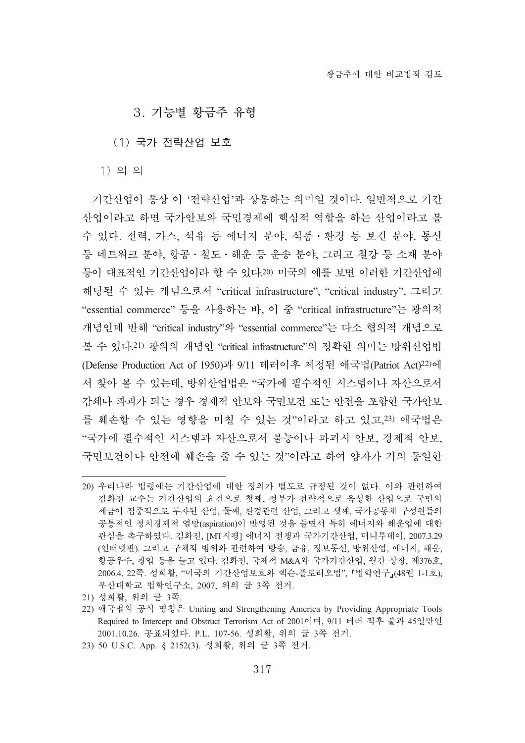# 3. 기능별 황금주 유형

(1) 국가 전략산업 보호

 $1)$  의 의

기간산업이 통상 이 '전략산업'과 상통하는 의미일 것이다. 일반적으로 기간 사업이라고 하면 국가안보와 국민경제에 핵심적 역할을 하는 산업이라고 볼 수 있다. 전력, 가스, 석유 등 에너지 분야, 식품·환경 등 보건 분야, 통신 등 네트워크 분야, 항공 · 철도 · 해운 등 운송 분야, 그리고 철강 등 소재 분야 등이 대표적인 기간산업이라 할 수 있다.20) 미국의 예를 보면 이러한 기간산업에 해당될 수 있는 개념으로서 "critical infrastructure", "critical industry", 그리고 "essential commerce" 등을 사용하는 바, 이 중 "critical infrastructure"는 광의적 개념인데 반해 "critical industry"와 "essential commerce"는 다소 협의적 개념으로 볼 수 있다.21) 광의의 개념인 "critical infrastructure"의 정확한 의미는 방위산업법 (Defense Production Act of 1950)과 9/11 테러이후 제정된 애국법(Patriot Act)<sup>22)</sup>에 서 찾아 볼 수 있는데, 방위산업법은 "국가에 필수적인 시스템이나 자산으로서 감쇄나 파괴가 되는 경우 경제적 안보와 국민보건 또는 안전을 포함한 국가안보 를 훼손할 수 있는 영향을 미칠 수 있는 것"이라고 하고 있고.23) 애국법은 "국가에 필수적인 시스템과 자산으로서 불능이나 파괴시 안보, 경제적 안보, 국민보건이나 안전에 훼손을 줄 수 있는 것"이라고 하여 양자가 거의 동일한

<sup>20)</sup> 우리나라 법령에는 기간산업에 대한 정의가 별도로 규정된 것이 없다. 이와 관련하여 김화진 교수는 기간산업의 요건으로 첫째, 정부가 전략적으로 육성한 산업으로 국민의 세금이 집중적으로 투자된 산업, 둘째, 환경관련 산업, 그리고 셋째, 국가공동체 구성원들의 공통적인 정치경제적 열망(aspiration)이 반영된 것을 들면서 특히 에너지와 해운업에 대한 관심을 촉구하였다. 김화진, [MT시평] 에너지 전쟁과 국가기간산업, 머니투데이, 2007.3.29 (인터넷판). 그리고 구체적 범위와 관련하여 방송, 금융, 정보통신, 방위산업, 에너지, 해운, 항공우주, 광업 등을 들고 있다. 김화진, 국제적 M&A와 국가기간산업, 월간 상장, 제376호, 2006.4, 22쪽. 성희활, "미국의 기간산업보호와 엑슨-플로리오법", 「법학연구』(48권 1-1호), 부산대학교 법학연구소, 2007, 위의 글 3쪽 전거.

<sup>21)</sup> 성희활, 위의 글 3쪽.

<sup>22)</sup> 애국법의 공식 명칭은 Uniting and Strengthening America by Providing Appropriate Tools Required to Intercept and Obstruct Terrorism Act of 2001이며, 9/11 테러 직후 불과 45일만인 2001.10.26. 공표되었다. P.L. 107-56. 성희활. 위의 글 3쪽 전거.

<sup>23) 50</sup> U.S.C. App. § 2152(3). 성희활, 위의 글 3쪽 전거.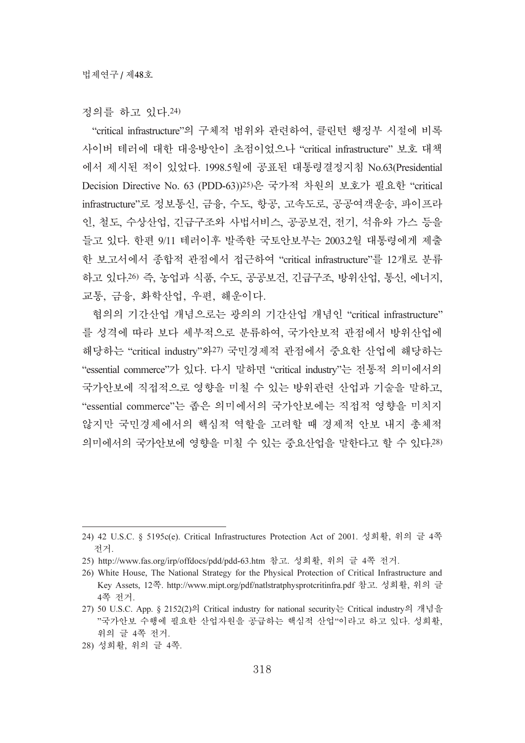정의를 하고 있다.24)

"critical infrastructure"의 구체적 범위와 관련하여, 클린턴 행정부 시절에 비록 사이버 테러에 대한 대응방안이 초점이었으나 "critical infrastructure" 보호 대책 에서 제시된 적이 있었다. 1998.5월에 공표된 대통령결정지침 No.63(Presidential Decision Directive No. 63 (PDD-63))<sup>25)</sup>은 국가적 차원의 보호가 필요한 "critical infrastructure"로 정보통신, 금융, 수도, 항공, 고속도로, 공공여객운송, 파이프라 인, 철도, 수상산업, 긴급구조와 사법서비스, 공공보건, 전기, 석유와 가스 등을 들고 있다. 한편 9/11 테러이후 발족한 국토안보부는 2003.2월 대통령에게 제출 한 보고서에서 종합적 관점에서 접근하여 "critical infrastructure"를 12개로 분류 하고 있다.26) 즉, 농업과 식품, 수도, 공공보건, 긴급구조, 방위산업, 통신, 에너지, 교통, 금융, 화학산업, 우편, 해운이다.

협의의 기간산업 개념으로는 광의의 기간산업 개념인 "critical infrastructure" 를 성격에 따라 보다 세부적으로 분류하여, 국가안보적 관점에서 방위산업에 해당하는 "critical industry"와27) 국민경제적 관점에서 중요한 산업에 해당하는 "essential commerce"가 있다. 다시 말하면 "critical industry"는 전통적 의미에서의 국가안보에 직접적으로 영향을 미칠 수 있는 방위관련 산업과 기술을 말하고, "essential commerce"는 좁은 의미에서의 국가안보에는 직접적 영향을 미치지 않지만 국민경제에서의 핵심적 역할을 고려할 때 경제적 안보 내지 총체적 의미에서의 국가안보에 영향을 미칠 수 있는 중요산업을 말한다고 할 수 있다.28)

<sup>24) 42</sup> U.S.C. § 5195c(e). Critical Infrastructures Protection Act of 2001. 성희활, 위의 글 4쪽 ...

<sup>25)</sup> http://www.fas.org/irp/offdocs/pdd/pdd-63.htm 참고. 성희활, 위의 글 4쪽 전거.

<sup>26)</sup> White House, The National Strategy for the Physical Protection of Critical Infrastructure and Key Assets, 12쪽. http://www.mipt.org/pdf/natlstratphysprotcritinfra.pdf 참고. 성희활, 위의 글 4쪽 전거.

<sup>27) 50</sup> U.S.C. App. § 2152(2)의 Critical industry for national security는 Critical industry의 개념을 "국가안보 수행에 필요한 산업자원을 공급하는 핵심적 산업"이라고 하고 있다. 성희활, 위의 글 4쪽 전거.

<sup>28)</sup> 성희활, 위의 글 4쪽.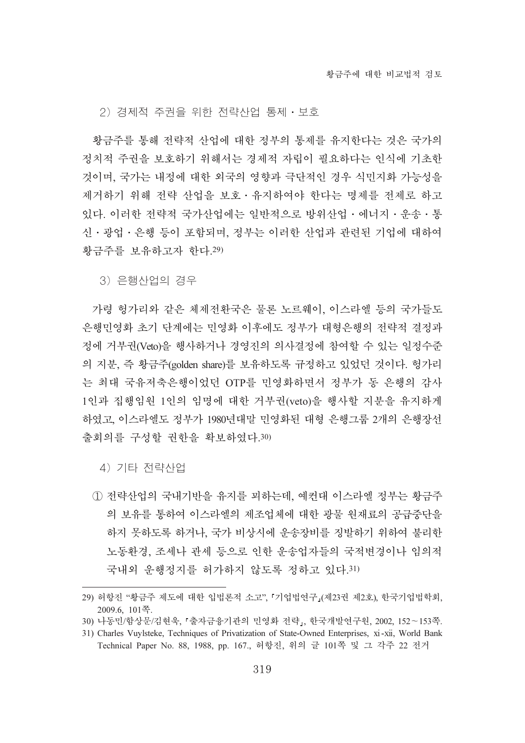2) 경제적 주권을 위한 전략산업 통제·보호

황금주를 통해 전략적 산업에 대한 정부의 통제를 유지한다는 것은 국가의 정치적 주권을 보호하기 위해서는 경제적 자립이 필요하다는 인식에 기초한 것이며, 국가는 내정에 대한 외국의 영향과 극단적인 경우 식민지화 가능성을 제거하기 위해 전략 산업을 보호ㆍ유지하여야 한다는 명제를 전제로 하고 있다. 이러한 전략적 국가산업에는 일반적으로 방위산업 · 에너지 · 우송 · 통 신 · 광업 · 은행 등이 포함되며, 정부는 이러한 산업과 관련된 기업에 대하여 황금주를 보유하고자 한다.29)

3) 은행산업의 경우

가령 헝가리와 같은 체제전환국은 물론 노르웨이, 이스라엘 등의 국가들도 은행민영화 초기 단계에는 민영화 이후에도 정부가 대형은행의 전략적 결정과 정에 거부권(Veto)을 행사하거나 경영진의 의사결정에 참여할 수 있는 일정수준 의 지분, 즉 황금주(golden share)를 보유하도록 규정하고 있었던 것이다. 헝가리 는 최대 국유저축은행이었던 OTP를 민영화하면서 정부가 동 은행의 감사 1인과 집행임원 1인의 임명에 대한 거부권(veto)을 행사할 지분을 유지하게 하였고, 이스라엘도 정부가 1980년대말 민영화된 대형 은행그룹 2개의 은행장선 출회의를 구성할 권한을 확보하였다.30)

4) 기타 전략산업

① 전략산업의 국내기반을 유지를 꾀하는데, 예컨대 이스라엘 정부는 황금주 의 보유를 통하여 이스라엘의 제조업체에 대한 광물 원재료의 공급중단을 하지 못하도록 하거나, 국가 비상시에 운송장비를 징발하기 위하여 불리한 노동환경, 조세나 관세 등으로 인한 우송업자들의 국적변경이나 임의적 국내외 운행정지를 허가하지 않도록 정하고 있다.31)

<sup>29)</sup> 허항진 "황금주 제도에 대한 입법론적 소고", 『기업법연구』(제23권 제2호), 한국기업법학회, 2009.6, 101碪.

<sup>30)</sup> 나동민/함상문/김현욱, 「출자금융기관의 민영화 전략」, 한국개발연구원, 2002, 152~153쪽.

<sup>31)</sup> Charles Vuylsteke, Techniques of Privatization of State-Owned Enterprises, xi-xii, World Bank Technical Paper No. 88, 1988, pp. 167., 허항진, 위의 글 101쪽 및 그 각주 22 전거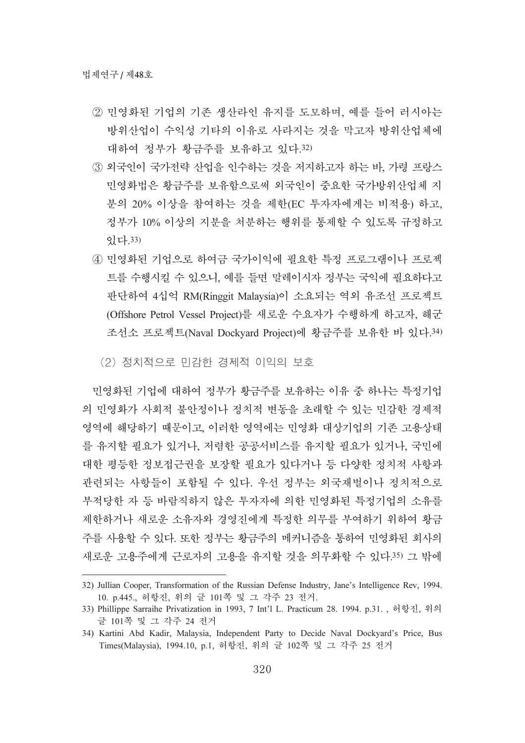- ② 민영화된 기업의 기존 생산라인 유지를 도모하며. 예를 들어 러시아는 방위산업이 수익성 기타의 이유로 사라지는 것을 막고자 방위산업체에 대하여 정부가 황금주를 보유하고 있다.32)
- 3 외국인이 국가전략 산업을 인수하는 것을 저지하고자 하는 바, 가령 프랑스 민영화법은 황금주를 보유함으로써 외국인이 중요한 국가방위산업체 지 분의 20% 이상을 참여하는 것을 제한(EC 투자자에게는 비적용) 하고, 정부가 10% 이상의 지분을 처분하는 행위를 통제할 수 있도록 규정하고 畵惑.33)
- 4) 민영화된 기업으로 하여금 국가이익에 필요한 특정 프로그램이나 프로젝 트를 수행시킬 수 있으니, 예를 들면 말레이시자 정부는 국익에 필요하다고 판단하여 4십억 RM(Ringgit Malaysia)이 소요되는 역외 유조선 프로젝트 (Offshore Petrol Vessel Project)를 새로운 수요자가 수행하게 하고자, 해군 조선소 프로젝트(Naval Dockyard Project)에 황금주를 보유한 바 있다.34)

(2) 정치적으로 민감한 경제적 이익의 보호

민영화된 기업에 대하여 정부가 황금주를 보유하는 이유 중 하나는 특정기업 의 민영화가 사회적 불안정이나 정치적 변동을 초래할 수 있는 민감한 경제적 영역에 해당하기 때문이고, 이러한 영역에는 민영화 대상기업의 기존 고용상태 를 유지할 필요가 있거나, 저렴한 공공서비스를 유지할 필요가 있거나, 국민에 대한 평등한 정보접근권을 보장할 필요가 있다거나 등 다양한 정치적 사항과 관련되는 사항들이 포함될 수 있다. 우선 정부는 외국재벌이나 정치적으로 부적당한 자 등 바람직하지 않은 투자자에 의한 민영화된 특정기업의 소유를 제학하거나 새로운 소유자와 경영진에게 특정한 의무를 부여하기 위하여 황금 주를 사용할 수 있다. 또한 정부는 황금주의 메커니즘을 통하여 민영화된 회사의 새로운 고용주에게 근로자의 고용을 유지할 것을 의무화할 수 있다.35) 그 밖에

<sup>32)</sup> Jullian Cooper, Transformation of the Russian Defense Industry, Jane's Intelligence Rev, 1994. 10. p.445., 허항진, 위의 글 101쪽 및 그 각주 23 전거.

<sup>33)</sup> Phillippe Sarraihe Privatization in 1993, 7 Int'l L. Practicum 28. 1994. p.31., 허항진, 위의 글 101쪽 및 그 각주 24 전거

<sup>34)</sup> Kartini Abd Kadir, Malaysia, Independent Party to Decide Naval Dockyard's Price, Bus Times(Malaysia), 1994.10, p.1, 허항진, 위의 글 102쪽 및 그 각주 25 전거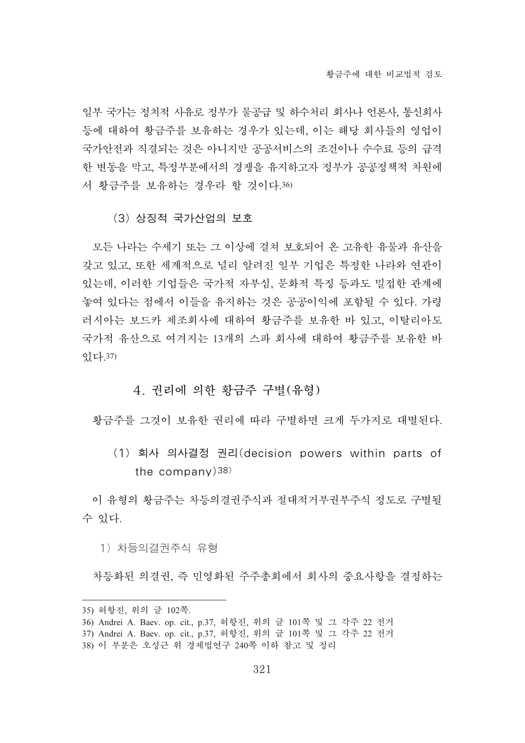일부 국가는 정치적 사유로 정부가 물공급 및 하수처리 회사나 언론사, 통신회사 등에 대하여 황금주를 보유하는 경우가 있는데, 이는 해당 회사들의 영업이 국가안전과 직결되는 것은 아니지만 공공서비스의 조건이나 수수료 등의 급격 한 변동을 막고, 특정부분에서의 경쟁을 유지하고자 정부가 공공정책적 차원에 서 황금주를 보유하는 경우라 할 것이다.36)

(3) 상징적 국가산업의 보호

모든 나라는 수세기 또는 그 이상에 걸쳐 보호되어 온 고유한 유물과 유산을 갖고 있고, 또한 세계적으로 널리 알려진 일부 기업은 특정한 나라와 연관이 있는데, 이러한 기업들은 국가적 자부심, 문화적 특징 등과도 밀접한 관계에 놓여 있다는 점에서 이들을 유지하는 것은 공공이익에 포함될 수 있다. 가령 러시아는 보드카 제조회사에 대하여 황금주를 보유한 바 있고, 이탈리아도 국가적 유산으로 여겨지는 13개의 스파 회사에 대하여 황금주를 보유한 바 畵惑.37)

# 4. 권리에 의한 황금주 구별(유형)

황금주를 그것이 보유한 권리에 따라 구별하면 크게 두가지로 대별된다.

(1) 회사 의사결정 권리(decision powers within parts of the company) $38$ 

이 유형의 황금주는 차등의결권주식과 절대적거부권부주식 정도로 구별될 수 있다.

1) 차능의결권주식 유형

차등화된 의결권, 즉 민영화된 주주총회에서 회사의 중요사항을 결정하는

<sup>35)</sup> 허항진, 위의 글 102쪽.

<sup>36)</sup> Andrei A. Baev. op. cit., p.37, 허항진, 위의 글 101쪽 및 그 각주 22 전거

<sup>37)</sup> Andrei A. Baev. op. cit., p.37, 허항진, 위의 글 101쪽 및 그 각주 22 전거

<sup>38)</sup> 이 부분은 오성근 위 경제법연구 240쪽 이하 참고 및 정리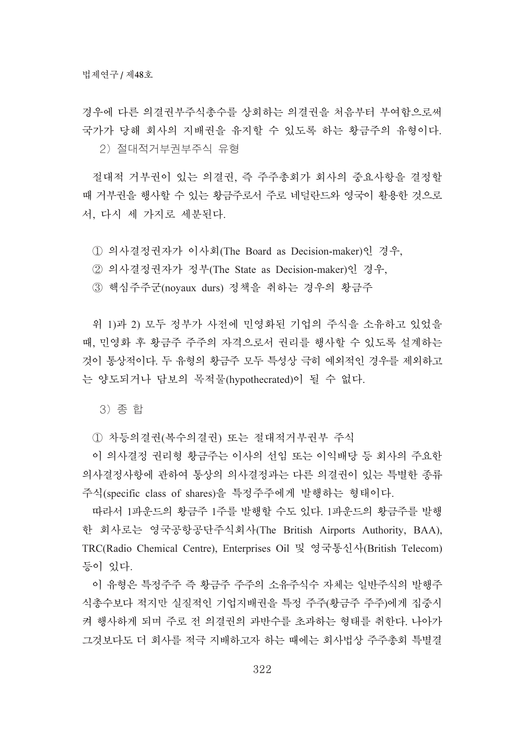경우에 다른 의결권부주식총수를 상회하는 의결권을 처음부터 부여함으로써 국가가 당해 회사의 지배권을 유지할 수 있도록 하는 황금주의 유형이다.

2) 절대적거부권부주식 유형

절대적 거부권이 있는 의결권, 즉 주주총회가 회사의 중요사항을 결정할 때 거부권을 행사할 수 있는 황금주로서 주로 네덜란드와 영국이 활용한 것으로 서, 다시 세 가지로 세분된다.

① 의사결정권자가 이사회(The Board as Decision-maker)인 경우,

② 의사결정권자가 정부(The State as Decision-maker)인 경우,

3 핵심주주군(noyaux durs) 정책을 취하는 경우의 황금주

위 1)과 2) 모두 정부가 사전에 민영화된 기업의 주식을 소유하고 있었을 때, 민영화 후 황금주 주주의 자격으로서 권리를 행사할 수 있도록 설계하는 것이 통상적이다. 두 유형의 황금주 모두 특성상 극히 예외적인 경우를 제외하고 는 양도되거나 담보의 목적물(hypothecrated)이 될 수 없다.

3) 송 합

① 차등의결권(복수의결권) 또는 절대적거부권부 주식

이 의사결정 권리형 황금주는 이사의 선임 또는 이익배당 등 회사의 주요한 의사결정사항에 관하여 통상의 의사결정과는 다른 의결권이 있는 특별한 종류 주식(specific class of shares)을 특정주주에게 발행하는 형태이다.

따라서 1파운드의 황금주 1주를 발행할 수도 있다. 1파운드의 황금주를 발행 한 회사로는 영국공항공단주식회사(The British Airports Authority, BAA), TRC(Radio Chemical Centre), Enterprises Oil 槼珮孚羢烍溙(British Telecom) 등이 있다.

이 유형은 특정주주 즉 황금주 주주의 소유주식수 자체는 일반주식의 발행주 식총수보다 적지만 실질적인 기업지배권을 특정 주주(황금주 주주)에게 집중시 켜 행사하게 되며 주로 전 의결권의 과반수를 초과하는 형태를 취한다. 나아가 그것보다도 더 회사를 적극 지배하고자 하는 때에는 회사법상 주주총회 특별결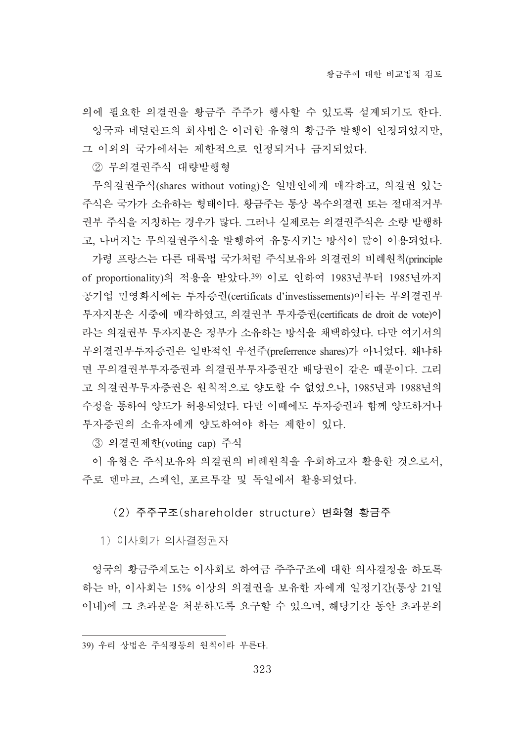의에 필요한 의결권을 황금주 주주가 행사할 수 있도록 설계되기도 한다. 영국과 네덜란드의 회사법은 이러한 유형의 황금주 발행이 인정되었지만, 그 이외의 국가에서는 제한적으로 인정되거나 금지되었다.

② 무의결권주식 대량발행형

무의결권주식(shares without voting)은 일반인에게 매각하고, 의결권 있는 주식은 국가가 소유하는 형태이다. 황금주는 통상 복수의결권 또는 절대적거부 권부 주식을 지칭하는 경우가 많다. 그러나 실제로는 의결권주식은 소량 발행하 고, 나머지는 무의결권주식을 발행하여 유통시키는 방식이 많이 이용되었다.

가령 프랑스는 다른 대륙법 국가처럼 주식보유와 의결권의 비례원칙(principle of proportionality)의 적용을 받았다.39) 이로 인하여 1983년부터 1985년까지 공기업 민영화시에는 투자증권(certificats d'investissements)이라는 무의결권부 투자지분은 시중에 매각하였고, 의결권부 투자증권(certificats de droit de vote)이 라는 의결권부 투자지분은 정부가 소유하는 방식을 채택하였다. 다만 여기서의 무의결권부투자증권은 일반적인 우선주(preferrence shares)가 아니었다. 왜냐하 면 무의결권부투자증권간 배당권이 같은 때문이다. 그리 고 의결권부투자증권은 원칙적으로 양도할 수 없었으나, 1985년과 1988년의 수정을 통하여 양도가 허용되었다. 다만 이때에도 투자증권과 함께 양도하거나 투자증권의 소유자에게 양도하여야 하는 제한이 있다.

③ 의결권제학(voting cap) 주식

이 유형은 주식보유와 의결권의 비례원칙을 우회하고자 활용한 것으로서, 주로 덴마크, 스페인, 포르투갈 및 독일에서 활용되었다.

(2) 주주구조(shareholder structure) 변화형 황금주

1) 이사회가 의사결정권자

영국의 황금주제도는 이사회로 하여금 주주구조에 대한 의사결정을 하도록 하는 바, 이사회는 15% 이상의 의결권을 보유한 자에게 일정기간(통상 21일 이내)에 그 초과분을 처분하도록 요구할 수 있으며, 해당기간 동안 초과분의

<sup>39)</sup> 우리 상법은 주식평등의 원칙이라 부른다.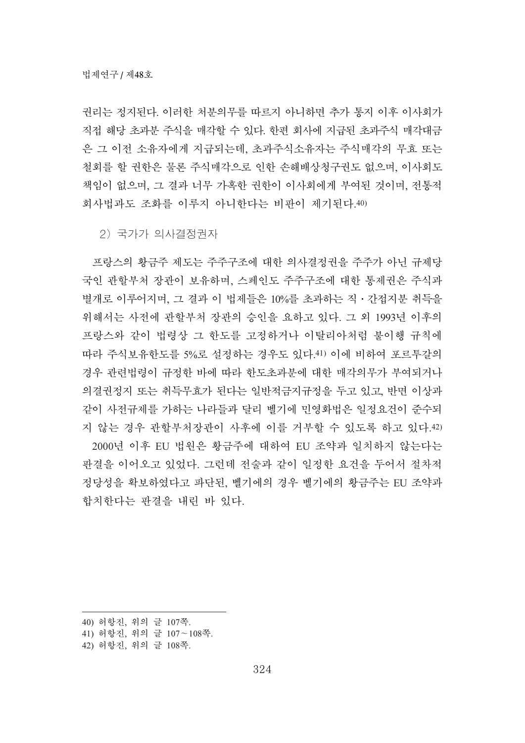권리는 정지된다. 이러한 처부의무를 따르지 아니하면 추가 통지 이후 이사회가 직접 해당 초과분 주식을 매각할 수 있다. 한편 회사에 지급된 초과주식 매각대금 은 그 이전 소유자에게 지급되는데, 초과주식소유자는 주식매각의 무효 또는 철회를 할 권한은 물론 주식매각으로 인한 손해배상청구권도 없으며, 이사회도 책임이 없으며, 그 결과 너무 가혹한 권한이 이사회에게 부여된 것이며, 전통적 회사법과도 조화를 이루지 아니한다는 비판이 제기된다.40)

2) 국가가 의사결정권자

프랑스의 황금주 제도는 주주구조에 대한 의사결정권을 주주가 아닌 규제당 국인 관할부처 장관이 보유하며, 스페인도 주주구조에 대한 통제권은 주식과 별개로 이루어지며, 그 결과 이 법제들은 10%를 초과하는 직 · 간접지분 취득을 위해서는 사전에 관할부처 장관의 승인을 요하고 있다. 그 외 1993년 이후의 프랑스와 같이 법령상 그 한도를 고정하거나 이탈리아처럼 불이행 규칙에 따라 주식보유한도를 5%로 설정하는 경우도 있다.41) 이에 비하여 포르투갈의 경우 관련법령이 규정한 바에 따라 한도초과분에 대한 매각의무가 부여되거나 의결권정지 또는 취득무효가 된다는 일반적금지규정을 두고 있고, 반면 이상과 같이 사전규제를 가하는 나라들과 달리 벨기에 민영화법은 일정요건이 준수되 지 않는 경우 과할부처장관이 사후에 이를 거부할 수 있도록 하고 있다.42) 2000년 이후 EU 법원은 황금주에 대하여 EU 조약과 일치하지 않는다는

판결을 이어오고 있었다. 그런데 전술과 같이 일정한 요건을 두어서 절차적 정당성을 확보하였다고 파단된, 벨기에의 경우 벨기에의 황금주는 EU 조약과 합치한다는 판결을 내린 바 있다.

- 40) 허항진, 위의 글 107쪽.
- 41) 허항진, 위의 글 107~108쪽.
- 42) 허항진, 위의 글 108쪽.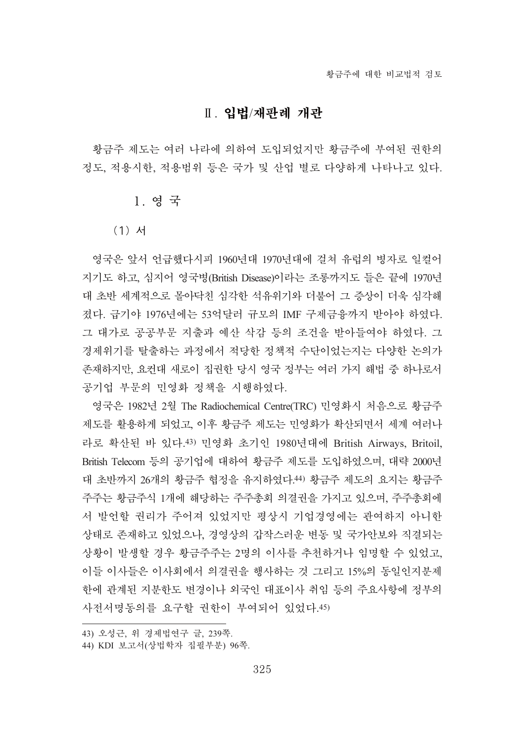# Ⅱ. 입법/재판례 개관

황금주 제도는 여러 나라에 의하여 도입되었지만 황금주에 부여된 권한의 정도, 적용시한, 적용범위 등은 국가 및 산업 별로 다양하게 나타나고 있다.

# 1. 영국

### (1) 서

영국은 앞서 언급했다시피 1960년대 1970년대에 걸쳐 유럽의 병자로 일컬어 지기도 하고, 심지어 영국병(British Disease)이라는 조롱까지도 들은 끝에 1970년 대 초반 세계적으로 몰아닥친 심각한 석유위기와 더불어 그 증상이 더욱 심각해 졌다. 급기야 1976년에는 53억달러 규모의 IMF 구제금융까지 받아야 하였다. 그 대가로 공공부문 지출과 예산 삭감 등의 조건을 받아들여야 하였다. 그 경제위기를 탈출하는 과정에서 적당한 정책적 수단이었는지는 다양한 논의가 존재하지만, 요컨대 새로이 집권한 당시 영국 정부는 여러 가지 해법 중 하나로서 공기업 부문의 민영화 정책을 시행하였다.

영국은 1982년 2월 The Radiochemical Centre(TRC) 민영화시 처음으로 황금주 제도를 활용하게 되었고, 이후 황금주 제도는 민영화가 확산되면서 세계 여러나 라로 확산된 바 있다.43) 민영화 초기인 1980년대에 British Airways, Britoil, British Telecom 등의 공기업에 대하여 황금주 제도를 도입하였으며, 대략 2000년 대 초반까지 26개의 황금주 협정을 유지하였다.44) 황금주 제도의 요지는 황금주 주주는 황금주식 1개에 해당하는 주주총회 의결권을 가지고 있으며, 주주총회에 서 발언할 권리가 주어져 있었지만 평상시 기업경영에는 관여하지 아니한 상태로 존재하고 있었으나, 경영상의 갑작스러운 변동 및 국가안보와 직결되는 상황이 발생할 경우 황금주주는 2명의 이사를 추천하거나 임명할 수 있었고, 이들 이사들은 이사회에서 의결권을 행사하는 것 그리고 15%의 동일인지분제 한에 관계된 지분한도 변경이나 외국인 대표이사 취임 등의 주요사항에 정부의 사전서명동의를 요구할 권한이 부여되어 있었다.45)

<sup>43)</sup> 오성근, 위 경제법연구 글, 239쪽.

<sup>44)</sup> KDI 보고서(상법학자 집필부분) 96쪽.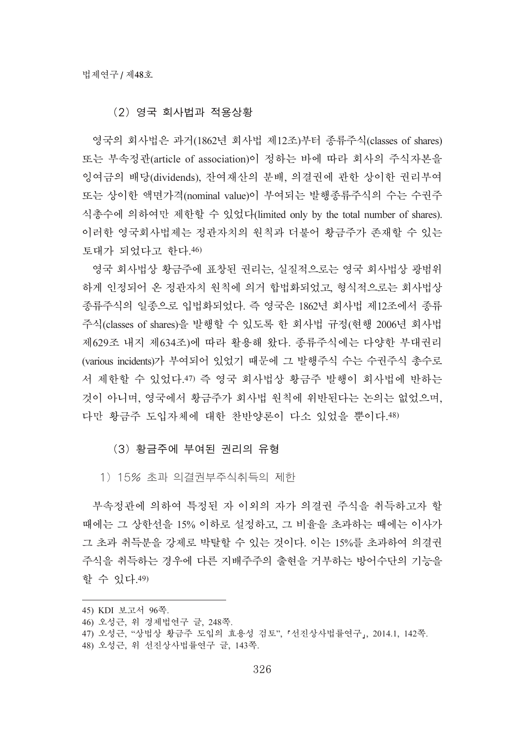### (2) 영국 회사법과 적용상황

영국의 회사법은 과거(1862년 회사법 제12조)부터 종류주식(classes of shares) 또는 부속정관(article of association)이 정하는 바에 따라 회사의 주식자본을 잉여금의 배당(dividends), 잔여재산의 분배, 의결권에 관한 상이한 권리부여 또는 상이한 액면가격(nominal value)이 부여되는 발행종류주식의 수는 수권주 식촉수에 의하여만 제한할 수 있었다(limited only by the total number of shares). 이러한 영국회사법제는 정관자치의 원칙과 더불어 황금주가 존재할 수 있는 토대가 되었다고 한다.46)

영국 회사법상 황금주에 표창된 권리는, 실질적으로는 영국 회사법상 광범위 하게 인정되어 온 정관자치 원칙에 의거 합법화되었고, 형식적으로는 회사법상 종류주식의 일종으로 입법화되었다. 즉 영국은 1862년 회사법 제12조에서 종류 주식(classes of shares)을 발행할 수 있도록 한 회사법 규정(현행 2006년 회사법 제629조 내지 제634조)에 따라 활용해 왔다. 종류주식에는 다양한 부대권리 (various incidents)가 부여되어 있었기 때문에 그 발행주식 수는 수권주식 총수로 서 제한할 수 있었다.47) 즉 영국 회사법상 황금주 발행이 회사법에 반하는 것이 아니며, 영국에서 황금주가 회사법 원칙에 위반된다는 논의는 없었으며, 다만 황금주 도입자체에 대한 찬반양론이 다소 있었을 뿐이다.48)

# (3) 황금주에 부여된 권리의 유형

1) 15% 초과 의결권부주식취득의 제한

부속정관에 의하여 특정된 자 이외의 자가 의결권 주식을 취득하고자 할 때에는 그 상학선을 15% 이하로 설정하고, 그 비율을 초과하는 때에는 이사가 그 초과 취득분을 강제로 박탈할 수 있는 것이다. 이는 15%를 초과하여 의결권 주식을 취득하는 경우에 다른 지배주주의 출현을 거부하는 방어수단의 기능을 할 수 있다.49)

- 47) 오성근, "상법상 황금주 도입의 효용성 검토", 「선진상사법률연구」, 2014.1, 142쪽.
- 48) 오성근, 위 선진상사법률연구 글, 143쪽.

<sup>45)</sup> KDI 보고서 96쪽.

<sup>46)</sup> 오성근, 위 경제법연구 글, 248쪽.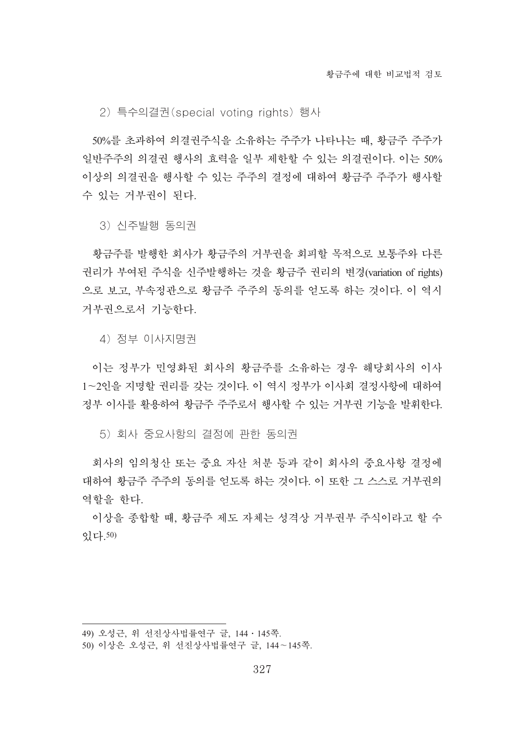2) 특수의결권(special voting rights) 행사

50%를 초과하여 의결권주식을 소유하는 주주가 나타나는 때, 황금주 주주가 일반주주의 의결권 행사의 효력을 일부 제한할 수 있는 의결권이다. 이는 50% 이상의 의결권을 행사할 수 있는 주주의 결정에 대하여 황금주 주주가 행사할 수 있는 거부권이 된다.

3) 신주발행 동의권

황금주를 발행한 회사가 황금주의 거부권을 회피할 목적으로 보통주와 다른 권리가 부여된 주식을 신주발행하는 것을 황금주 권리의 변경(variation of rights) 으로 보고, 부속정관으로 황금주 주주의 동의를 얻도록 하는 것이다. 이 역시 거부권으로서 기능하다.

4) 정부 이사지명권

이는 정부가 민영화된 회사의 황금주를 소유하는 경우 해당회사의 이사 1~2인을 지명할 권리를 갖는 것이다. 이 역시 정부가 이사회 결정사항에 대하여 정부 이사를 활용하여 황금주 주주로서 행사할 수 있는 거부권 기능을 발휘한다.

5) 회사 중요사항의 결정에 관한 동의권

회사의 임의청산 또는 중요 자산 처분 등과 같이 회사의 중요사항 결정에 대하여 황금주 주주의 동의를 얻도록 하는 것이다. 이 또한 그 스스로 거부권의 역할을 하다.

이상을 종합할 때, 황금주 제도 자체는 성격상 거부권부 주식이라고 할 수 畵惑.50)

<sup>49)</sup> 오성근, 위 선진상사법률연구 글, 144 · 145쪽.

<sup>50)</sup> 이상은 오성근, 위 선진상사법률연구 글, 144~145쪽.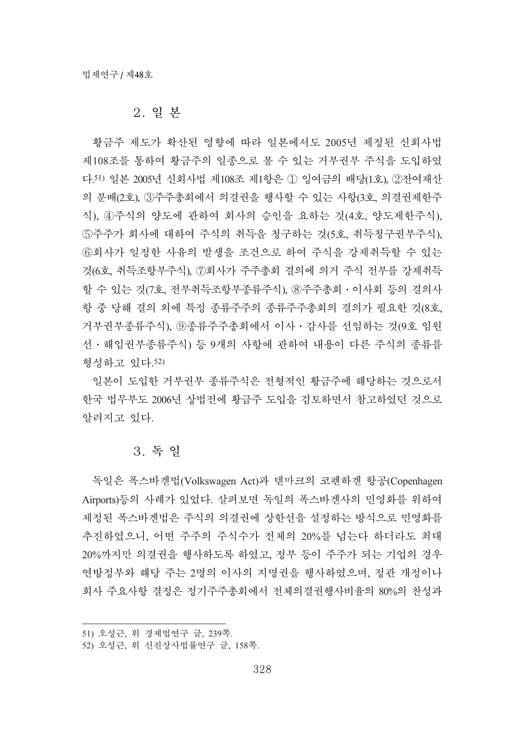### 2. 일 본

황금주 제도가 확산된 영향에 따라 일본에서도 2005년 제정된 신회사법 제108조를 통하여 황금주의 일종으로 볼 수 있는 거부권부 주식을 도입하였 다.51) 일본 2005년 신회사법 제108조 제1항은 ① 잉여금의 배당(1호), ②잔여재산 의 분배(2호), 3)주주총회에서 의결권을 행사할 수 있는 사항(3호, 의결권제한주 식), ④주식의 양도에 관하여 회사의 승인을 요하는 것(4호, 양도제한주식), 5주주가 회사에 대하여 주식의 취득을 청구하는 것(5호, 취득청구권부주식), ⑥회사가 일정한 사유의 발생을 조건으로 하여 주식을 강제취득할 수 있는 것(6호, 취득조항부주식), ⑦회사가 주주총회 결의에 의거 주식 전부를 강제취득 할 수 있는 것(7호, 전부취득조항부종류주식), 8주주총회 · 이사회 등의 결의사 항 중 당해 결의 외에 특정 종류주주의 종류주주총회의 결의가 필요한 것(8호, 거부권부종류주식), ⑨종류주주총회에서 이사 · 감사를 선임하는 것(9호 임원 선ㆍ해임권부종류주식) 등 9개의 사항에 관하여 내용이 다른 주식의 종류를 형성하고 있다.52)

일본이 도입한 거부권부 종류주식은 전형적인 황금주에 해당하는 것으로서 한국 법무부도 2006년 상법전에 황금주 도입을 검토하면서 참고하였던 것으로 알려지고 있다.

# 3. 독일

독일은 폭스바겐법(Volkswagen Act)과 덴마크의 코펜하겐 항공(Copenhagen Airports)등의 사례가 있었다. 살펴보면 독일의 폭스바겐사의 민영화를 위하여 제정된 폭스바겐법은 주식의 의결권에 상한선을 설정하는 방식으로 민영화를 추진하였으니, 어떤 주주의 주식수가 전체의 20%를 넘는다 하더라도 최대 20%까지만 의결권을 행사하도록 하였고, 정부 등이 주주가 되는 기업의 경우 연방정부와 해당 주는 2명의 이사의 지명권을 행사하였으며, 정관 개정이나 회사 주요사항 결정은 정기주주총회에서 전체의결권행사비율의 80%의 찬성과

<sup>51)</sup> 오성근, 위 경제법연구 글, 239쪽.

<sup>52)</sup> 오성근, 위 선진상사법률연구 글, 158쪽.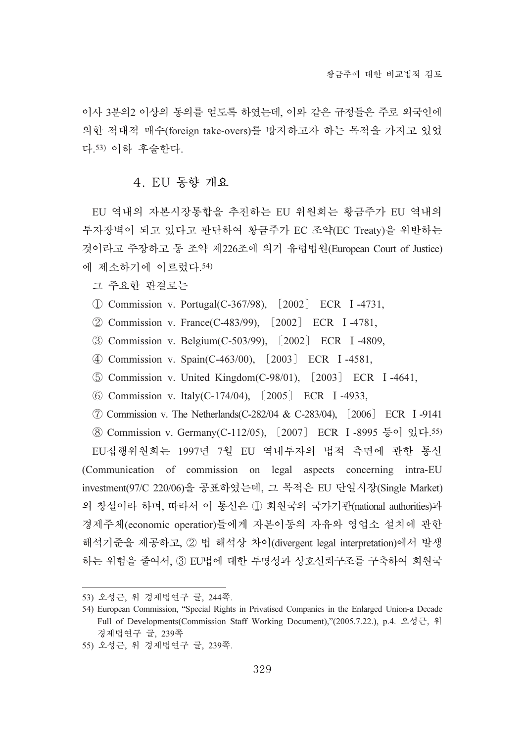이사 3분의2 이상의 동의를 얻도록 하였는데, 이와 같은 규정들은 주로 외국이에 의한 적대적 매수(foreign take-overs)를 방지하고자 하는 목적을 가지고 있었 다.53) 이하 후술한다.

### 4. EU 동향 개요

EU 역내의 자본시장통합을 추진하는 EU 위원회는 황금주가 EU 역내의 투자장벽이 되고 있다고 판단하여 황금주가 EC 조약(EC Treaty)을 위반하는 것이라고 주장하고 동 조약 제226조에 의거 유럽법원(European Court of Justice) 에 제소하기에 이르렀다.54)

그 주요한 판결로는

- $(I)$  Commission v. Portugal(C-367/98),  $[2002]$  ECR I-4731,
- ② Commission v. France(C-483/99), [2002] ECR I-4781,
- Commission v. Belgium(C-503/99), ৈ2002 ECR ۙ-4809,
- Commission v. Spain(C-463/00), ৈ2003 ECR ۙ-4581,
- **(5) Commission v. United Kingdom(C-98/01), [2003] ECR I-4641,**
- $\odot$  Commission v. Italy(C-174/04),  $[2005]$  ECR I-4933,

ࡠ Commission v. The Netherlands(C-282/04 & C-283/04), ৈ2006 ECR ۙ-9141 ⑧ Commission v. Germany(C-112/05), [2007] ECR I-8995 등이 있다. 55) EU집행위원회는 1997년 7월 EU 역내투자의 법적 측면에 관한 통신 (Communication of commission on legal aspects concerning intra-EU investment(97/C 220/06)을 공표하였는데, 그 목적은 EU 단일시장(Single Market) 의 창설이라 하며, 따라서 이 통신은 ① 회원국의 국가기관(national authorities)과 경제주체(economic operatior)들에게 자본이동의 자유와 영업소 설치에 관한 해석기준을 제공하고, ② 법 해석상 차이(divergent legal interpretation)에서 발생 하는 위험을 줄여서, 3 EU법에 대한 투명성과 상호신뢰구조를 구축하여 회원국

<sup>53)</sup> 오성근, 위 경제법연구 글, 244쪽.

<sup>54)</sup> European Commission, "Special Rights in Privatised Companies in the Enlarged Union-a Decade Full of Developments(Commission Staff Working Document),"(2005.7.22.), p.4. 오성근, 위 경제법연구 글, 239쪽

<sup>55)</sup> 오성근, 위 경제법연구 글, 239쪽.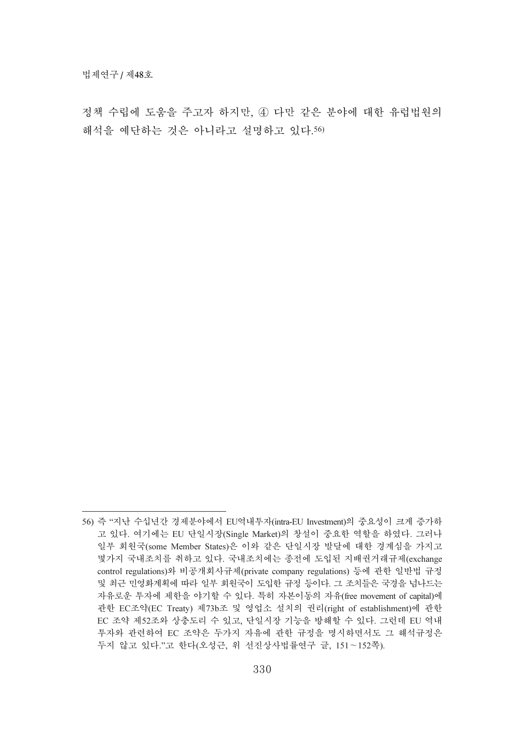정책 수립에 도움을 주고자 하지만, 4 다만 같은 분야에 대한 유럽법원의 해석을 예단하는 것은 아니라고 설명하고 있다.56)

<sup>56)</sup> 즉 "지난 수십년간 경제분야에서 EU역내투자(intra-EU Investment)의 중요성이 크게 증가하 고 있다. 여기에는 EU 단일시장(Single Market)의 창설이 중요한 역할을 하였다. 그러나 일부 회원국(some Member States)은 이와 같은 단일시장 발달에 대한 경계심을 가지고 몇가지 국내조치를 취하고 있다. 국내조치에는 종전에 도입된 지배권거래규제(exchange control regulations)와 비공개회사규제(private company regulations) 등에 관한 일반법 규정 및 최근 민영화계획에 따라 일부 회원국이 도입한 규정 등이다. 그 조치들은 국경을 넘나드는 자유로운 투자에 제한을 야기할 수 있다. 특히 자본이동의 자유(free movement of capital)에 관한 EC조약(EC Treaty) 제73b조 및 영업소 설치의 권리(right of establishment)에 관한 EC 조약 제52조와 상충도리 수 있고, 단일시장 기능을 방해할 수 있다. 그런데 EU 역내 투자와 관련하여 EC 조약은 두가지 자유에 관한 규정을 명시하면서도 그 해석규정은 두지 않고 있다."고 한다(오성근, 위 선진상사법률연구 글, 151~152쪽).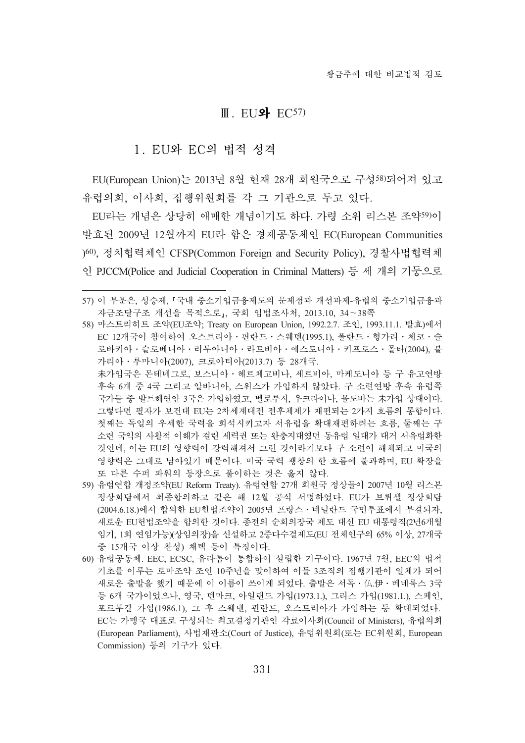#### $II.$  EU와 EC57)

# 1. EU와 EC의 법적 성격

EU(European Union)는 2013년 8월 현재 28개 회원국으로 구성58)되어져 있고 유럽의회, 이사회, 집행위원회를 각 그 기관으로 두고 있다.

EU라는 개념은 상당히 애매한 개념이기도 하다. 가령 소위 리스본 조약59)이 발효된 2009년 12월까지 EU라 함은 경제공동체인 EC(European Communities )60), 정치협력체인 CFSP(Common Foreign and Security Policy), 경찰사법협력체 인 PJCCM(Police and Judicial Cooperation in Criminal Matters) 등 세 개의 기둥으로

未가입국은 몬테네그로, 보스니아 · 헤르체고비나, 세르비아, 마케도니아 등 구 유고여방 후속 6개 중 4국 그리고 알바니아, 스위스가 가입하지 않았다. 구 소련연방 후속 유럽쪽 국가들 중 발트해연안 3국은 가입하였고, 벨로루시, 우크라이나, 몰도바는 未가입 상태이다. 그렇다면 필자가 보건대 EU는 2차세계대전 전후체제가 재편되는 2가지 흐름의 통합이다. 첫째는 독일의 우세한 국력을 회석시키고자 서유럽을 확대재편하려는 흐름, 둘째는 구 소련 국익의 사활적 이해가 걸린 세력권 또는 완충지대였던 동유럽 일대가 대거 서유럽화한 것인데. 이는 EU의 영향력이 강력해져서 그런 것이라기보다 구 소련이 해체되고 미국의 영향력은 그대로 남아있기 때문이다. 미국 국력 팽창의 한 흐름에 불과하며, EU 확장을 또 다른 수퍼 파워의 등장으로 풀이하는 것은 옳지 않다.

- 59) 유럽연합 개정조약(EU Reform Treaty). 유럽연합 27개 회원국 정상들이 2007년 10월 리스본 정상회담에서 최종합의하고 같은 해 12월 공식 서명하였다. EU가 브뤼셀 정상회담 (2004.6.18.)에서 합의한 EU헌법조약이 2005년 프랑스 · 네덜란드 국민투표에서 부결되자, 새로운 EU헌법조약을 합의한 것이다. 종전의 순회의장국 제도 대신 EU 대통령직(2년6개월 임기, 1회 연임가능)(상임의장)을 신설하고 2중다수결제도(EU 전체인구의 65% 이상, 27개국 중 15개국 이상 찬성) 채택 등이 특징이다.
- 60) 유럽공동체. EEC, ECSC, 유라톰이 통합하여 설립한 기구이다. 1967년 7월, EEC의 법적 기초를 이루는 로마조약 조인 10주년을 맞이하여 이들 3조직의 집행기관이 일체가 되어 새로운 출발을 했기 때문에 이 이름이 쓰이게 되었다. 출발은 서독 • 仏.伊 • 베네룩스 3국 등 6개 국가이었으나, 영국, 덴마크, 아일랜드 가입(1973.1.), 그리스 가입(1981.1.), 스페인, 포르투갈 가입(1986.1), 그 후 스웨덴, 핀란드, 오스트리아가 가입하는 등 확대되었다. EC는 가맹국 대표로 구성되는 최고결정기관인 각료이사회(Council of Ministers), 유럽의회 (European Parliament), 사법재판소(Court of Justice), 유럽위원회(또는 EC위원회, European Commission) 등의 기구가 있다.

<sup>57)</sup> 이 부분은, 성승제, 『국내 중소기업금융제도의 문제점과 개선과제-유럽의 중소기업금융과 자금조달구조 개선을 목적으로』, 국회 입법조사처, 2013.10, 34~38쪽

<sup>58)</sup> 마스트리히트 조약(EU조약; Treaty on European Union, 1992.2.7. 조인, 1993.11.1. 발효)에서 EC 12개국이 참여하여 오스트리아 · 핀란드 · 스웨덴(1995.1), 폴란드 · 헝가리 · 체코 · 슬 로바키아 · 슬로베니아 · 리투아니아 · 라트비아 · 에스토니아 · 키프로스 · 몰타(2004), 불 가리아 · 루마니아(2007), 크로아티아(2013.7) 등 28개국.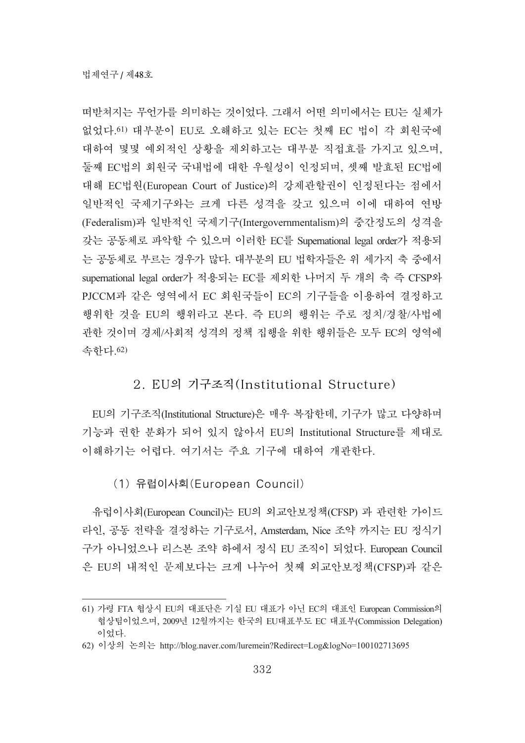떠반쳐지는 무언가를 의미하는 것이었다. 그래서 어떤 의미에서는 EU는 실체가 없었다.61) 대부분이 EU로 오해하고 있는 EC는 첫째 EC 법이 각 회원국에 대하여 몇몇 예외적인 상황을 제외하고는 대부분 직접효를 가지고 있으며, 둘째 EC법의 회원국 국내법에 대한 우월성이 인정되며, 셋째 발효된 EC법에 대해 EC법원(European Court of Justice)의 강제관할권이 인정된다는 점에서 일반적인 국제기구와는 크게 다른 성격을 갖고 있으며 이에 대하여 연방 (Federalism)과 일반적인 국제기구(Intergovernmentalism)의 중간정도의 성격을 갖는 공동체로 파악할 수 있으며 이러한 EC를 Supernational legal order가 적용되 는 공동체로 부르는 경우가 많다. 대부분의 EU 법학자들은 위 세가지 축 중에서 supernational legal order가 적용되는 EC를 제외한 나머지 두 개의 축 즉 CFSP와 PJCCM과 같은 영역에서 EC 회원국들이 EC의 기구들을 이용하여 결정하고 행위한 것을 EU의 행위라고 본다. 즉 EU의 행위는 주로 정치/경찰/사법에 관한 것이며 경제/사회적 성격의 정책 집행을 위한 행위들은 모두 EC의 영역에 속하다.62)

# 2. EU의 기구조직(Institutional Structure)

EU의 기구조직(Institutional Structure)은 매우 복잡한데, 기구가 많고 다양하며 기능과 권한 분화가 되어 있지 않아서 EU의 Institutional Structure를 제대로 이해하기는 어렵다. 여기서는 주요 기구에 대하여 개관한다.

(1) 유럽이사회(European Council)

유럽이사회(European Council)는 EU의 외교안보정책(CFSP) 과 관련한 가이드 라인, 공동 전략을 결정하는 기구로서, Amsterdam, Nice 조약 까지는 EU 정식기 구가 아니었으나 리스본 조약 하에서 정식 EU 조직이 되었다. European Council 은 EU의 내적인 문제보다는 크게 나누어 첫째 외교안보정책(CFSP)과 같은

<sup>61)</sup> 가령 FTA 협상시 EU의 대표단은 기실 EU 대표가 아닌 EC의 대표인 European Commission의 협상팀이었으며, 2009년 12월까지는 한국의 EU대표부도 EC 대표부(Commission Delegation) 이었다.

<sup>62)</sup> 이상의 논의는 http://blog.naver.com/luremein?Redirect=Log&logNo=100102713695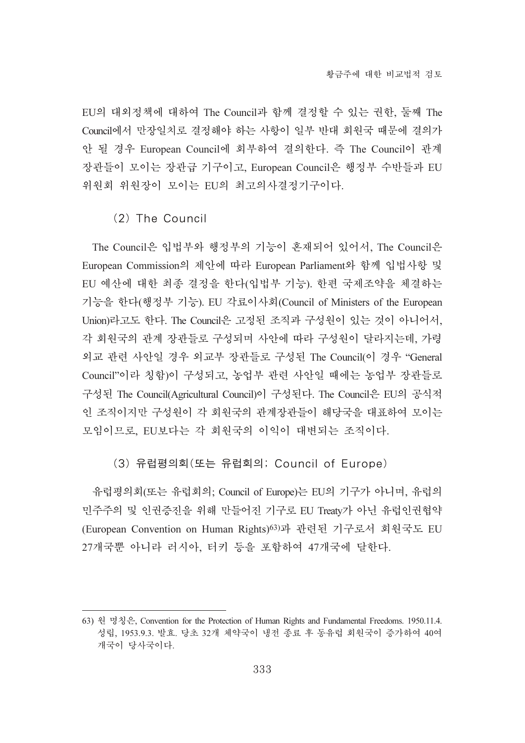EU의 대외정책에 대하여 The Council과 함께 결정할 수 있는 권한, 둘째 The Council에서 만장일치로 결정해야 하는 사항이 일부 반대 회원국 때문에 결의가 안 될 경우 European Council에 회부하여 결의한다. 즉 The Council이 관계 장관들이 모이는 장관급 기구이고, European Council은 행정부 수반들과 EU 위원회 위원장이 모이는 EU의 최고의사결정기구이다.

### (2) The Council

The Council은 입법부와 행정부의 기능이 혼재되어 있어서, The Council은 European Commission의 제안에 따라 European Parliament와 함께 입법사항 및 EU 예산에 대한 최종 결정을 한다(입법부 기능). 한편 국제조약을 체결하는 기능을 한다(행정부 기능). EU 각료이사회(Council of Ministers of the European Union)라고도 한다. The Council은 고정된 조직과 구성원이 있는 것이 아니어서, 각 회원국의 관계 장관들로 구성되며 사안에 따라 구성원이 달라지는데, 가령 외교 관련 사안일 경우 외교부 장관들로 구성된 The Council(이 경우 "General Council"이라 칭함)이 구성되고, 농업부 관련 사안일 때에는 농업부 장관들로 구성된 The Council(Agricultural Council)이 구성된다. The Council은 EU의 공식적 인 조직이지만 구성원이 각 회원국의 관계장관들이 해당국을 대표하여 모이는 모임이므로, EU보다는 각 회원국의 이익이 대변되는 조직이다.

### (3) 유럽평의회(또는 유럽회의; Council of Europe)

유럽평의회(또는 유럽회의; Council of Europe)는 EU의 기구가 아니며, 유럽의 민주주의 및 인권증진을 위해 만들어진 기구로 EU Treaty가 아닌 유럽인권협약 (European Convention on Human Rights)<sup>63)</sup>과 관련된 기구로서 회원국도 EU 27개국뿐 아니라 러시아, 터키 등을 포함하여 47개국에 달한다.

<sup>63)</sup> 璽桲籚甭, Convention for the Protection of Human Rights and Fundamental Freedoms. 1950.11.4. 성립, 1953.9.3. 발효. 당초 32개 체약국이 냉전 종료 후 동유럽 회원국이 증가하여 40여 개국이 당사국이다.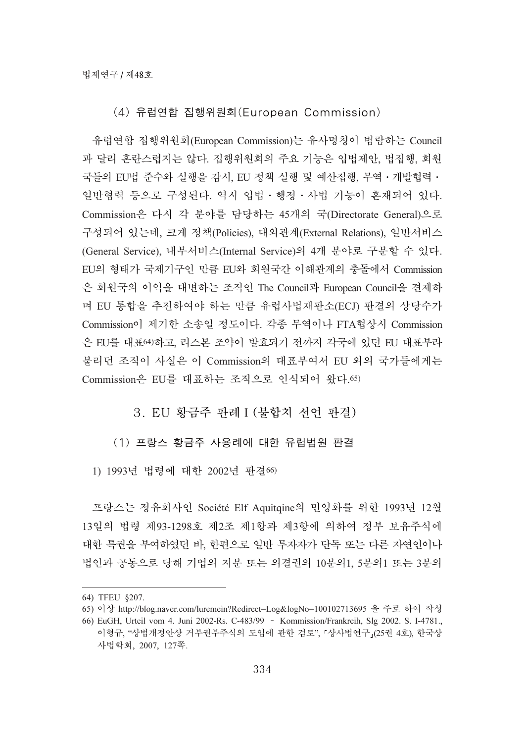# (4) 유럽연합 집행위원회(European Commission)

유럽연합 집행위원회(European Commission)는 유사명칭이 범람하는 Council 과 달리 혼란스럽지는 않다. 집행위원회의 주요 기능은 입법제안, 법집행, 회원 국들의 EU법 준수와 실행을 갂시, EU 정책 실행 및 예산집행, 무역 · 개발협력 · 일반협력 등으로 구성된다. 역시 입법ㆍ행정ㆍ사법 기능이 혼재되어 있다. Commission은 다시 각 분야를 담당하는 45개의 국(Directorate General)으로 구성되어 있는데, 크게 정책(Policies), 대외관계(External Relations), 일반서비스 (General Service), 내부서비스(Internal Service)의 4개 분야로 구분할 수 있다. EU의 형태가 국제기구인 만큼 EU와 회원국간 이해관계의 충돌에서 Commission 은 회원국의 이익을 대변하는 조직인 The Council과 European Council을 견제하 며 EU 통합을 추진하여야 하는 만큼 유럽사법재판소(ECJ) 판결의 상당수가 Commission이 제기한 소송일 정도이다. 각종 무역이나 FTA협상시 Commission 은 EU를 대표여)하고, 리스본 조약이 발효되기 전까지 각국에 있던 EU 대표부라 불리던 조직이 사실은 이 Commission의 대표부여서 EU 외의 국가들에게는 Commission은 EU를 대표하는 조직으로 인식되어 왔다.65)

# 3. EU 황금주 판례 I (불합치 선언 판결)

# (1) 프랑스 황금주 사용례에 대한 유럽법원 판결

1) 1993년 법령에 대한 2002년 판결66)

프랑스는 정유회사인 Société Elf Aquitqine의 민영화를 위한 1993년 12월 13일의 법령 제93-1298호 제2조 제1항과 제3항에 의하여 정부 보유주식에 대한 특권을 부여하였던 바, 한편으로 일반 투자자가 단독 또는 다른 자연인이나 법인과 공동으로 당해 기업의 지분 또는 의결권의 10분의1, 5분의1 또는 3분의

<sup>64)</sup> TFEU §207.

<sup>65)</sup> 이상 http://blog.naver.com/luremein?Redirect=Log&logNo=100102713695 을 주로 하여 작성

<sup>66)</sup> EuGH, Urteil vom 4. Juni 2002-Rs. C-483/99 ّKommission/Frankreih, Slg 2002. S. I-4781., 이형규, "상법개정안상 거부권부주식의 도입에 관한 검토", 『상사법연구』(25권 4호), 한국상 溙檂荆葹, 2007, 127碪.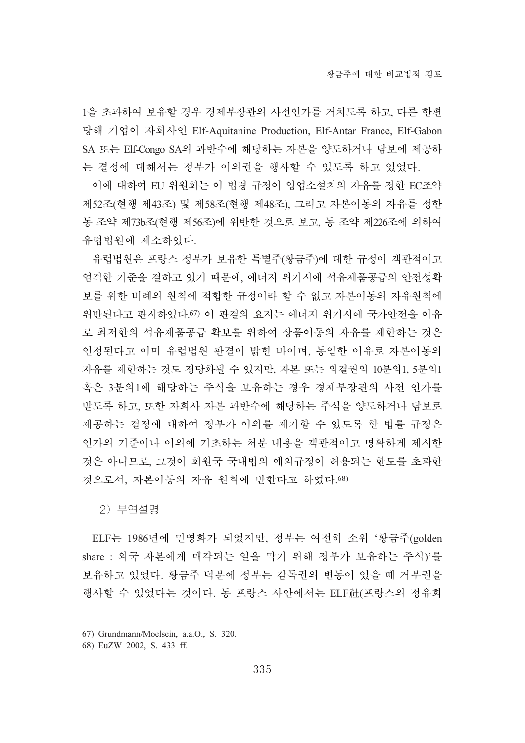1을 초과하여 보유할 경우 경제부장관의 사전인가를 거치도록 하고, 다른 한편 당해 기업이 자회사인 Elf-Aquitanine Production, Elf-Antar France, Elf-Gabon SA 또는 Elf-Congo SA의 과반수에 해당하는 자본을 양도하거나 담보에 제공하 는 결정에 대해서는 정부가 이의권을 행사할 수 있도록 하고 있었다.

이에 대하여 EU 위원회는 이 법령 규정이 영업소설치의 자유를 정한 EC조약 제52조(현행 제43조) 및 제58조(현행 제48조), 그리고 자본이동의 자유를 정한 동 조약 제73b조(현행 제56조)에 위반한 것으로 보고, 동 조약 제226조에 의하여 유럽법원에 제소하였다.

유럽법원은 프랑스 정부가 보유한 특별주(황금주)에 대한 규정이 객관적이고 엄격한 기준을 결하고 있기 때문에, 에너지 위기시에 석유제품공급의 안전성확 보를 위한 비례의 원칙에 적합한 규정이라 할 수 없고 자본이동의 자유원칙에 위반된다고 판시하였다.67) 이 판결의 요지는 에너지 위기시에 국가안전을 이유 로 최저한의 석유제품공급 확보를 위하여 상품이동의 자유를 제한하는 것은 인정된다고 이미 유럽법원 판결이 밝힌 바이며, 동일한 이유로 자본이동의 자유를 제한하는 것도 정당화될 수 있지만, 자본 또는 의결권의 10분의1, 5분의1 혹은 3분의1에 해당하는 주식을 보유하는 경우 경제부장관의 사전 인가를 받도록 하고, 또한 자회사 자본 과반수에 해당하는 주식을 양도하거나 담보로 제공하는 결정에 대하여 정부가 이의를 제기할 수 있도록 한 법률 규정은 인가의 기주이나 이의에 기초하는 처부 내용을 객관적이고 명확하게 제시한 것은 아니므로, 그것이 회원국 국내법의 예외규정이 허용되는 한도를 초과한 것으로서, 자본이동의 자유 원칙에 반한다고 하였다.68)

2) 부연설명

ELF는 1986년에 민영화가 되었지만, 정부는 여전히 소위 '황금주(golden share : 외국 자본에게 매각되는 일을 막기 위해 정부가 보유하는 주식)'를 보유하고 있었다. 황금주 덕분에 정부는 감독권의 변동이 있을 때 거부권을 행사할 수 있었다는 것이다. 동 프랑스 사안에서는 ELF社(프랑스의 정유회

<sup>67)</sup> Grundmann/Moelsein, a.a.O., S. 320.

<sup>68)</sup> EuZW 2002, S. 433 ff.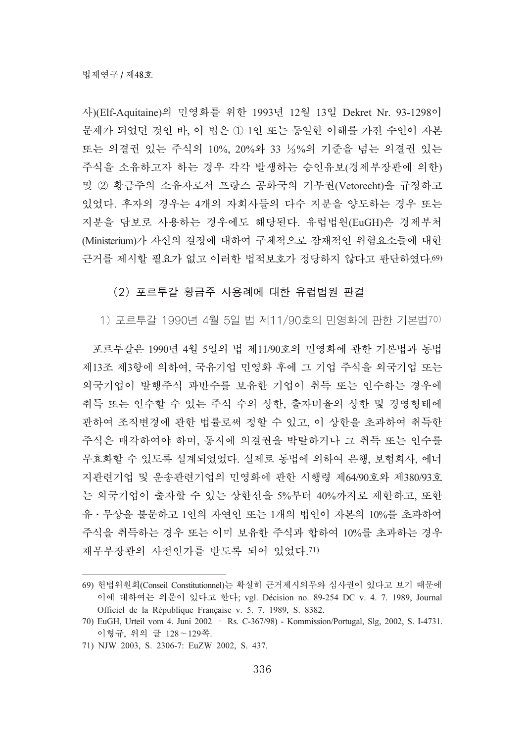사)(Elf-Aquitaine)의 민영화를 위한 1993년 12월 13일 Dekret Nr. 93-1298이 문제가 되었던 것인 바, 이 법은 ① 1인 또는 동일한 이해를 가진 수인이 자본 또는 의결권 있는 주식의 10%, 20%와 33 ½%의 기준을 넘는 의결권 있는 주식을 소유하고자 하는 경우 각각 발생하는 승인유보(경제부장관에 의한) 및 ② 황금주의 소유자로서 프랑스 공화국의 거부권(Vetorecht)을 규정하고 있었다. 후자의 경우는 4개의 자회사들의 다수 지분을 양도하는 경우 또는 지분을 담보로 사용하는 경우에도 해당된다. 유럽법원(EuGH)은 경제부처 (Ministerium)가 자신의 결정에 대하여 구체적으로 잠재적인 위험요소들에 대한 근거를 제시할 필요가 없고 이러한 법적보호가 정당하지 않다고 판단하였다.69)

### (2) 포르투갈 황금주 사용례에 대한 유럽법원 판결

1) 포르투갈 1990년 4월 5일 법 제11/90호의 민영화에 관한 기본법70)

포르투갈은 1990년 4월 5일의 법 제11/90호의 민영화에 관한 기본법과 동법 제13조 제3항에 의하여, 국유기업 민영화 후에 그 기업 주식을 외국기업 또는 외국기업이 발행주식 과반수를 보유한 기업이 취득 또는 인수하는 경우에 취득 또는 인수할 수 있는 주식 수의 상한, 출자비율의 상한 및 경영형태에 관하여 조직변경에 관한 법률로써 정할 수 있고, 이 상한을 초과하여 취득한 주식은 매각하여야 하며, 동시에 의결권을 박탈하거나 그 취득 또는 인수를 무효화할 수 있도록 설계되었었다. 실제로 동법에 의하여 은행, 보험회사, 에너 지관련기업 및 운송관련기업의 민영화에 관한 시행령 제64/90호와 제380/93호 는 외국기업이 출자할 수 있는 상한선을 5%부터 40%까지로 제한하고, 또한 유 · 무상을 불문하고 1인의 자연인 또는 1개의 법인이 자본의 10%를 초과하여 주식을 취득하는 경우 또는 이미 보유한 주식과 합하여 10%를 초과하는 경우 재무부장관의 사전인가를 받도록 되어 있었다.71)

<sup>69)</sup> 헌법위원회(Conseil Constitutionnel)는 확실히 근거제시의무와 심사권이 있다고 보기 때문에 이에 대하여는 의문이 있다고 한다; vgl. Décision no. 89-254 DC v. 4. 7. 1989, Journal Officiel de la République Française v. 5. 7. 1989, S. 8382.

<sup>70)</sup> EuGH, Urteil vom 4. Juni 2002 - Rs. C-367/98) - Kommission/Portugal, Slg, 2002, S. I-4731. 이형규, 위의 글 128~129쪽.

<sup>71)</sup> NJW 2003, S. 2306-7: EuZW 2002, S. 437.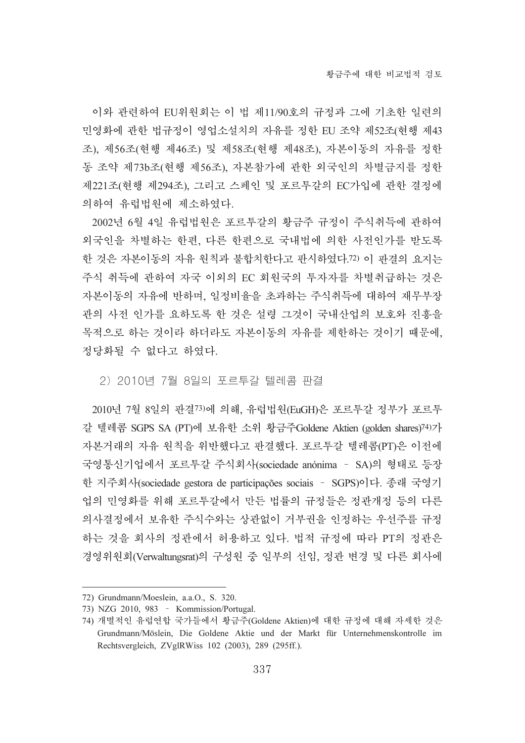이와 관련하여 EU위원회는 이 법 제11/90호의 규정과 그에 기초한 일련의 민영화에 관한 법규정이 영업소설치의 자유를 정한 EU 조약 제52조(현행 제43 조), 제56조(현행 제46조) 및 제58조(현행 제48조), 자본이동의 자유를 정한 동 조약 제73b조(현행 제56조), 자본참가에 관한 외국인의 차별금지를 정한 제221조(현행 제294조), 그리고 스페인 및 포르투갈의 EC가입에 관한 결정에 의하여 유럽법원에 제소하였다.

2002년 6월 4일 유럽법원은 포르투갈의 황금주 규정이 주식취득에 관하여 외국인을 차별하는 한편, 다른 한편으로 국내법에 의한 사전인가를 받도록 한 것은 자본이동의 자유 원칙과 불합치한다고 판시하였다.72) 이 판결의 요지는 주식 취득에 관하여 자국 이외의 EC 회원국의 투자자를 차별취급하는 것은 자본이동의 자유에 반하며, 일정비율을 초과하는 주식취득에 대하여 재무부장 관의 사전 인가를 요하도록 한 것은 설령 그것이 국내산업의 보호와 진흥을 목적으로 하는 것이라 하더라도 자본이동의 자유를 제한하는 것이기 때문에, 정당화될 수 없다고 하였다.

#### <u>2) 2010년 7월 8일의 포르투갈 텔레콤 판결</u>

2010년 7월 8일의 판결73)에 의해, 유럽법원(EuGH)은 포르투갈 정부가 포르투 갈 텔레콤 SGPS SA (PT)에 보유한 소위 황금주Goldene Aktien (golden shares)<sup>74)</sup>가 자본거래의 자유 원칙을 위반했다고 판결했다. 포르투갈 텔레콤(PT)은 이전에 국영통신기업에서 포르투갈 주식회사(sociedade anónima - SA)의 형태로 등장 한 지주회사(sociedade gestora de participações sociais - SGPS)이다. 종래 국영기 업의 민영화를 위해 포르투갈에서 만든 법률의 규정들은 정관개정 등의 다른 의사결정에서 보유한 주식수와는 상관없이 거부권을 인정하는 우선주를 규정 하는 것을 회사의 정관에서 허용하고 있다. 법적 규정에 따라 PT의 정관은 경영위원회(Verwaltungsrat)의 구성원 중 일부의 선임, 정관 변경 및 다른 회사에

<sup>72)</sup> Grundmann/Moeslein, a.a.O., S. 320.

<sup>73)</sup> NZG 2010, 983 - Kommission/Portugal.

<sup>74)</sup> 개별적인 유럽연합 국가들에서 황금주(Goldene Aktien)에 대한 규정에 대해 자세한 것은 Grundmann/Möslein, Die Goldene Aktie und der Markt für Unternehmenskontrolle im Rechtsvergleich, ZVglRWiss 102 (2003), 289 (295ff.).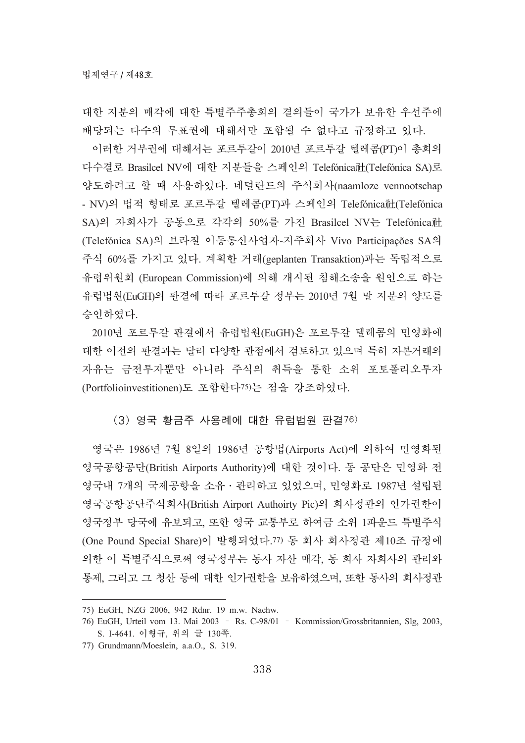대한 지부의 매각에 대한 특별주주총회의 결의들이 국가가 보유한 우선주에 배당되는 다수의 투표권에 대해서만 포함될 수 없다고 규정하고 있다.

이러한 거부권에 대해서는 포르투갈이 2010년 포르투갈 텔레콤(PT)이 총회의 다수결로 Brasilcel NV에 대한 지분들을 스페인의 Telefónica社(Telefónica SA)로 양도하려고 할 때 사용하였다. 네덜란드의 주식회사(naamloze vennootschap - NV)의 법적 형태로 포르투갈 텔레콤(PT)과 스페인의 Telefónica社(Telefónica SA)의 자회사가 공동으로 각각의 50%를 가진 Brasilcel NV는 Telefónica社 (Telefónica SA)의 브라질 이동통신사업자-지주회사 Vivo Participações SA의 주식 60%를 가지고 있다. 계획한 거래(geplanten Transaktion)과는 독립적으로 유럽위워회 (European Commission)에 의해 개시된 침해소송을 워이으로 하는 유럽법원(EuGH)의 판결에 따라 포르투갈 정부는 2010년 7월 말 지분의 양도를 승인하였다.

2010년 포르투갈 판결에서 유럽법원(EuGH)은 포르투갈 텔레콤의 민영화에 대한 이전의 판결과는 달리 다양한 관점에서 검토하고 있으며 특히 자본거래의 자유는 금전투자뿐만 아니라 주식의 취득을 통한 소위 포토폴리오투자 (Portfolioinvestitionen)도 포함한다75)는 점을 강조하였다.

### $(3)$  영국 황금주 사용례에 대한 유럽법원 판결 $76$ )

영국은 1986년 7월 8일의 1986년 공항법(Airports Act)에 의하여 민영화된 영국공항공단(British Airports Authority)에 대한 것이다. 동 공단은 민영화 전 영국내 7개의 국제공항을 소유 · 관리하고 있었으며, 민영화로 1987년 설립된 영국공항공단주식회사(British Airport Authoirty Pic)의 회사정관의 인가권한이 영국정부 당국에 유보되고, 또한 영국 교통부로 하여금 소위 1파운드 특별주식 (One Pound Special Share)이 발행되었다.77) 동 회사 회사정관 제10조 규정에 의한 이 특별주식으로써 영국정부는 동사 자산 매각, 동 회사 자회사의 관리와 통제, 그리고 그 청산 등에 대한 인가권한을 보유하였으며, 또한 동사의 회사정관

<sup>75)</sup> EuGH, NZG 2006, 942 Rdnr. 19 m.w. Nachw.

<sup>76)</sup> EuGH, Urteil vom 13. Mai 2003 - Rs. C-98/01 - Kommission/Grossbritannien, Slg, 2003, S. I-4641. 이형규, 위의 글 130쪽.

<sup>77)</sup> Grundmann/Moeslein, a.a.O., S. 319.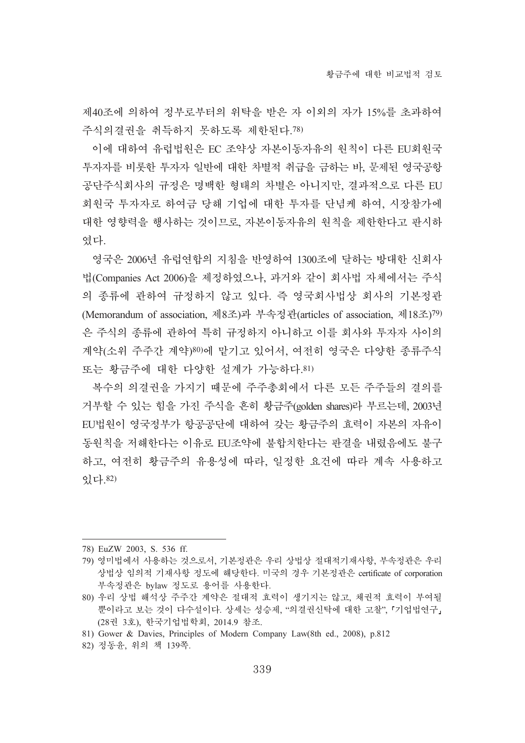제40조에 의하여 정부로부터의 위탁을 받은 자 이외의 자가 15%를 초과하여 주식의결권을 취득하지 못하도록 제한된다.78)

이에 대하여 유럽법원은 EC 조약상 자본이동자유의 원칙이 다른 EU회원국 투자자를 비롯한 투자자 일반에 대한 차별적 취급을 금하는 바, 문제된 영국공항 공단주식회사의 규정은 명백한 형태의 차별은 아니지만, 결과적으로 다른 EU 회원국 투자자로 하여금 당해 기업에 대한 투자를 단념케 하여, 시장참가에 대한 영향력을 행사하는 것이므로, 자본이동자유의 원칙을 제한한다고 판시하 였다.

영국은 2006년 유럽여합의 지침을 반영하여 1300조에 달하는 방대한 신회사 법(Companies Act 2006)을 제정하였으나, 과거와 같이 회사법 자체에서는 주식 의 종류에 관하여 규정하지 않고 있다. 즉 영국회사법상 회사의 기본정관 (Memorandum of association, 제8조)과 부속정관(articles of association, 제18조)<sup>79)</sup> 은 주식의 종류에 관하여 특히 규정하지 아니하고 이를 회사와 투자자 사이의 계약(소위 주주간 계약)80)에 맡기고 있어서, 여전히 영국은 다양한 종류주식 또는 황금주에 대한 다양한 설계가 가능하다.81)

복수의 의결권을 가지기 때문에 주주총회에서 다른 모든 주주들의 결의를 거부할 수 있는 힘을 가진 주식을 흔히 황금주(golden shares)라 부르는데, 2003년 EU법원이 영국정부가 항공공단에 대하여 갖는 황금주의 효력이 자본의 자유이 동원칙을 저해한다는 이유로 EU조약에 불합치한다는 판결을 내렸음에도 불구 하고, 여전히 황금주의 유용성에 따라, 일정한 요건에 따라 계속 사용하고 畵惑.82)

<sup>78)</sup> EuZW 2003, S. 536 ff.

<sup>79)</sup> 영미법에서 사용하는 것으로서, 기본정관은 우리 상법상 절대적기재사항, 부속정관은 우리 상법상 임의적 기재사항 정도에 해당한다. 미국의 경우 기본정관은 certificate of corporation 부속정관은 bylaw 정도로 용어를 사용한다.

<sup>80)</sup> 우리 상법 해석상 주주간 계약은 절대적 효력이 생기지는 않고, 채권적 효력이 부여될 뿐이라고 보는 것이 다수설이다. 상세는 성승제, "의결권신탁에 대한 고찰", 「기업법연구」 (28권 3호), 한국기업법학회, 2014.9 참조.

<sup>81)</sup> Gower & Davies, Principles of Modern Company Law(8th ed., 2008), p.812

<sup>82)</sup> 정동윤, 위의 책 139쪽.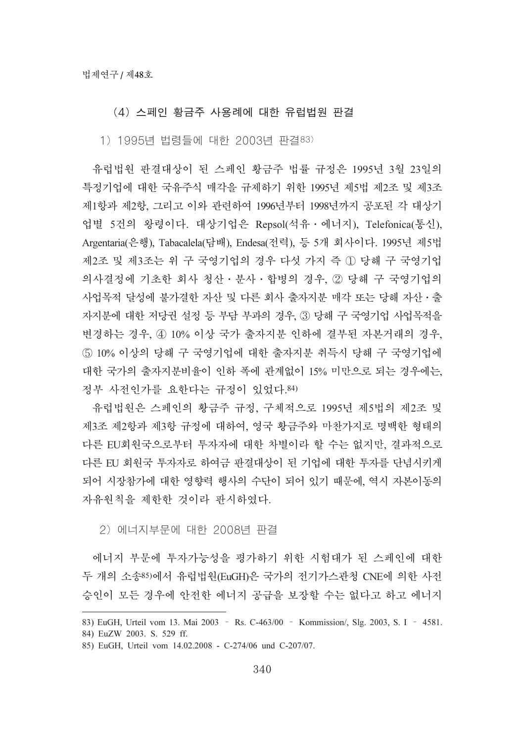# (4) 스페인 황금주 사용례에 대한 유럽법원 판결

<u>1) 1995년 법령들에 대한 2003년 판결<sup>83)</sup></u>

유럽법원 판결대상이 된 스페인 황금주 법률 규정은 1995년 3월 23일의 특정기업에 대한 국유주식 매각을 규제하기 위한 1995년 제5법 제2조 및 제3조 제1항과 제2항, 그리고 이와 관련하여 1996년부터 1998년까지 공포된 각 대상기 업별 5건의 왕령이다. 대상기업은 Repsol(석유·에너지), Telefonica(통신), Argentaria(은행), Tabacalela(담배), Endesa(전력), 등 5개 회사이다. 1995년 제5법 제2조 및 제3조는 위 구 국영기업의 경우 다섯 가지 즉 ① 당해 구 국영기업 의사결정에 기초한 회사 청산 · 분사 · 합병의 경우, ② 당해 구 국영기업의 사업목적 달성에 불가결한 자산 및 다른 회사 출자지분 매각 또는 당해 자산 • 출 자지분에 대한 저당권 설정 등 부담 부과의 경우, ③ 당해 구 국영기업 사업목적을 변경하는 경우, 4 10% 이상 국가 출자지분 인하에 결부된 자본거래의 경우, 5) 10% 이상의 당해 구 국영기업에 대한 출자지분 취득시 당해 구 국영기업에 대한 국가의 출자지분비율이 인하 폭에 관계없이 15% 미만으로 되는 경우에는, 정부 사전인가를 요한다는 규정이 있었다.84)

유럽법원은 스페인의 황금주 규정, 구체적으로 1995년 제5법의 제2조 및 제3조 제2항과 제3항 규정에 대하여, 영국 황금주와 마찬가지로 명백한 형태의 다른 EU회원국으로부터 투자자에 대한 차별이라 할 수는 없지만, 결과적으로 다른 EU 회원국 투자자로 하여금 판결대상이 된 기업에 대한 투자를 단념시키게 되어 시장참가에 대한 영향력 행사의 수단이 되어 있기 때문에, 역시 자본이동의 자유워칙을 제한한 것이라 판시하였다.

#### 2) 에너지부문에 대한 2008년 판결

에너지 부문에 투자가능성을 평가하기 위한 시험대가 된 스페인에 대한 두 개의 소송85)에서 유럽법원(EuGH)은 국가의 전기가스관청 CNE에 의한 사전 승인이 모든 경우에 안전한 에너지 공급을 보장할 수는 없다고 하고 에너지

<sup>83)</sup> EuGH, Urteil vom 13. Mai 2003 - Rs. C-463/00 - Kommission/, Slg. 2003, S. I - 4581.

<sup>84)</sup> EuZW 2003. S. 529 ff.

<sup>85)</sup> EuGH, Urteil vom 14.02.2008 - C-274/06 und C-207/07.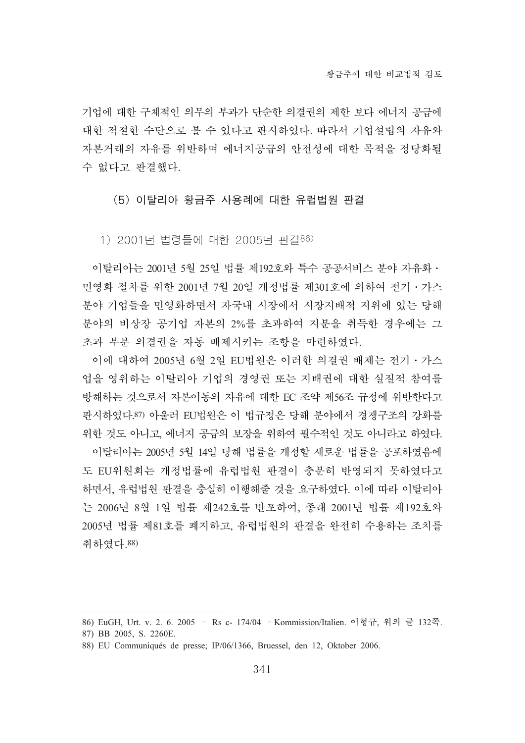기업에 대한 구체적인 의무의 부과가 단순한 의결권의 제한 보다 에너지 공급에 대한 적절한 수단으로 볼 수 있다고 판시하였다. 따라서 기업설립의 자유와 자본거래의 자유를 위반하며 에너지공급의 안전성에 대한 목적을 정당화될 수 없다고 판결했다.

(5) 이탈리아 황금주 사용례에 대한 유럽법원 판결

<u>1) 2001년 법령들에 대한 2005년 판결86)</u>

이탈리아는 2001년 5월 25일 법률 제192호와 특수 공공서비스 분야 자유화 · 민영화 절차를 위한 2001년 7월 20일 개정법률 제301호에 의하여 전기・가스 분야 기업들을 민영화하면서 자국내 시장에서 시장지배적 지위에 있는 당해 분야의 비상장 공기업 자본의 2%를 초과하여 지분을 취득한 경우에는 그 초과 부분 의결권을 자동 배제시키는 조항을 마련하였다.

이에 대하여 2005년 6월 2일 EU법원은 이러한 의결권 배제는 전기·가스 업을 영위하는 이탈리아 기업의 경영권 또는 지배권에 대한 실질적 참여를 방해하는 것으로서 자본이동의 자유에 대한 EC 조약 제56조 규정에 위반한다고 판시하였다.<sup>87)</sup> 아울러 EU법원은 이 법규정은 당해 분야에서 경쟁구조의 강화를 위한 것도 아니고, 에너지 공급의 보장을 위하여 필수적인 것도 아니라고 하였다. 이탈리아는 2005년 5월 14일 당해 법률을 개정할 새로운 법률을 공포하였음에 도 EU위원회는 개정법률에 유럽법원 판결이 충분히 반영되지 못하였다고 하면서, 유럽법원 판결을 충실히 이행해줄 것을 요구하였다. 이에 따라 이탈리아 는 2006년 8월 1일 법률 제242호를 반포하여, 종래 2001년 법률 제192호와 2005년 법률 제81호를 폐지하고, 유럽법원의 판결을 완전히 수용하는 조치를 취하였다.88)

<sup>86)</sup> EuGH, Urt. v. 2. 6. 2005 - Rs c- 174/04 - Kommission/Italien. 이형규, 위의 글 132쪽.

<sup>87)</sup> BB 2005, S. 2260E.

<sup>88)</sup> EU Communiqués de presse; IP/06/1366, Bruessel, den 12, Oktober 2006.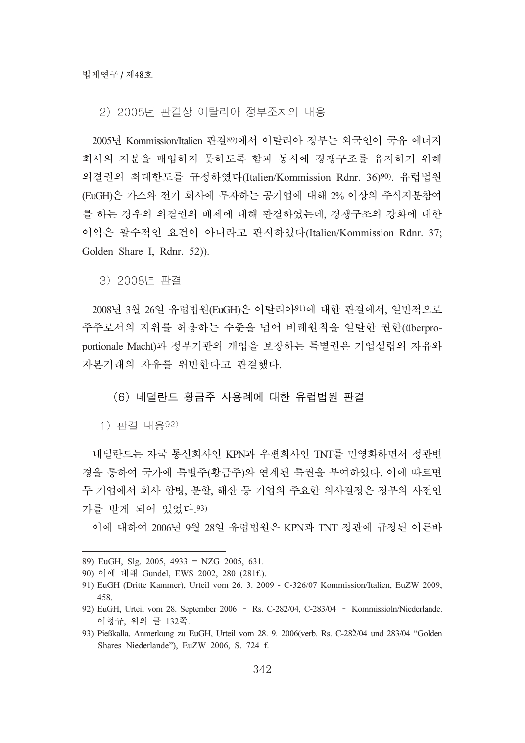### 2) 2005년 판결상 이탈리아 정부조치의 내용

2005년 Kommission/Italien 판결89)에서 이탈리아 정부는 외국인이 국유 에너지 회사의 지분을 매입하지 못하도록 함과 동시에 경쟁구조를 유지하기 위해 의결권의 최대한도를 규정하였다(Italien/Kommission Rdnr. 36)90). 유럽법원 (EuGH)은 가스와 전기 회사에 투자하는 공기업에 대해 2% 이상의 주식지분참여 를 하는 경우의 의결권의 배제에 대해 판결하였는데, 경쟁구조의 강화에 대한 이익은 팔수적인 요건이 아니라고 판시하였다(Italien/Kommission Rdnr. 37; Golden Share I, Rdnr. 52)).

3) 2008년 판결

2008년 3월 26일 유럽법원(EuGH)은 이탈리아91)에 대한 판결에서, 일반적으로 주주로서의 지위를 허용하는 수준을 넘어 비례원칙을 일탈한 권한(überproportionale Macht)과 정부기관의 개입을 보장하는 특별권은 기업설립의 자유와 자본거래의 자유를 위반한다고 판결했다.

### (6) 네덜란드 황금주 사용례에 대한 유럽법원 판결

1) 판결 내용92)

네덜란드는 자국 통신회사인 KPN과 우편회사인 TNT를 민영화하면서 정관변 경을 통하여 국가에 특별주(황금주)와 연계된 특권을 부여하였다. 이에 따르면 두 기업에서 회사 합병, 분할, 해산 등 기업의 주요한 의사결정은 정부의 사전인 가를 받게 되어 있었다.93)

이에 대하여 2006년 9월 28일 유럽법원은 KPN과 TNT 정관에 규정된 이른바

<sup>89)</sup> EuGH, Slg. 2005, 4933 = NZG 2005, 631.

<sup>90)</sup> 이에 대해 Gundel, EWS 2002, 280 (281f.).

<sup>91)</sup> EuGH (Dritte Kammer), Urteil vom 26. 3. 2009 - C-326/07 Kommission/Italien, EuZW 2009, 458.

<sup>92)</sup> EuGH, Urteil vom 28. September 2006 - Rs. C-282/04, C-283/04 - Kommissioln/Niederlande. 이형규, 위의 글 132쪽. 92) EuGH, Urteil vom 28. September 2006 - Rs. C-282/04, C-283/04 - Kommissioln/Niederlande.<br>이형규, 위의 글 132쪽.<br>93) Pießkalla, Anmerkung zu EuGH, Urteil vom 28. 9. 2006(verb. Rs. C-282/04 und 283/04 "Golden

Shares Niederlande"), EuZW 2006, S. 724 f.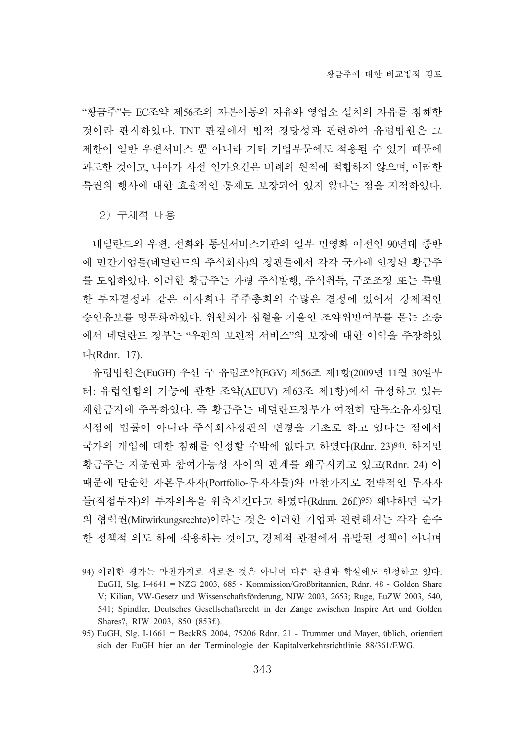"황금주"는 EC조약 제56조의 자본이동의 자유와 영업소 설치의 자유를 침해한 것이라 판시하였다. TNT 판결에서 법적 정당성과 관련하여 유럽법원은 그 제한이 일반 우편서비스 뿐 아니라 기타 기업부문에도 적용될 수 있기 때문에 과도한 것이고, 나아가 사전 인가요건은 비례의 원칙에 적합하지 않으며, 이러한 특권의 행사에 대한 효율적인 통제도 보장되어 있지 않다는 점을 지적하였다.

2) 구체적 내용

네덜란드의 우편, 전화와 통신서비스기관의 일부 민영화 이전인 90년대 중반 에 민간기업들(네덜란드의 주식회사)의 정관들에서 각각 국가에 인정된 황금주 를 도입하였다. 이러한 황금주는 가령 주식발행, 주식취득, 구조조정 또는 특별 한 투자결정과 같은 이사회나 주주총회의 수많은 결정에 있어서 강제적인 승인유보를 명문화하였다. 위원회가 심혈을 기울인 조약위반여부를 묻는 소송 에서 네덜란드 정부는 "우편의 보편적 서비스"의 보장에 대한 이익을 주장하였 惑(Rdnr. 17).

유럽법원은(EuGH) 우선 구 유럽조약(EGV) 제56조 제1항(2009년 11월 30일부 터: 유럽여합의 기능에 관한 조약(AEUV) 제63조 제1항)에서 규정하고 있는 제한금지에 주목하였다. 즉 황금주는 네덜란드정부가 여전히 단독소유자였던 시점에 법률이 아니라 주식회사정관의 변경을 기초로 하고 있다는 점에서 국가의 개입에 대한 침해를 인정할 수밖에 없다고 하였다(Rdnr. 23)94). 하지만 황금주는 지분권과 참여가능성 사이의 관계를 왜곡시키고 있고(Rdnr. 24) 이 때문에 단순한 자본투자자(Portfolio-투자자들)와 마찬가지로 전략적인 투자자 들(직접투자)의 투자의욕을 위축시킨다고 하였다(Rdnrn. 26f.)95) 왜냐하면 국가 의 협력권(Mitwirkungsrechte)이라는 것은 이러한 기업과 관련해서는 각각 순수 한 정책적 의도 하에 작용하는 것이고, 경제적 관점에서 유발된 정책이 아니며

<sup>94)</sup> 이러한 평가는 마찬가지로 새로운 것은 아니며 다른 판결과 학설에도 인정하고 있다. EuGH, Slg. I-4641 = NZG 2003, 685 - Kommission/Großbritannien, Rdnr. 48 - Golden Share V; Kilian, VW-Gesetz und Wissenschaftsförderung, NJW 2003, 2653; Ruge, EuZW 2003, 540, 541; Spindler, Deutsches Gesellschaftsrecht in der Zange zwischen Inspire Art und Golden Shares?, RIW 2003, 850 (853f.).

<sup>95)</sup> EuGH, Slg. I-1661 = BeckRS 2004, 75206 Rdnr. 21 - Trummer und Mayer, üblich, orientiert sich der EuGH hier an der Terminologie der Kapitalverkehrsrichtlinie 88/361/EWG.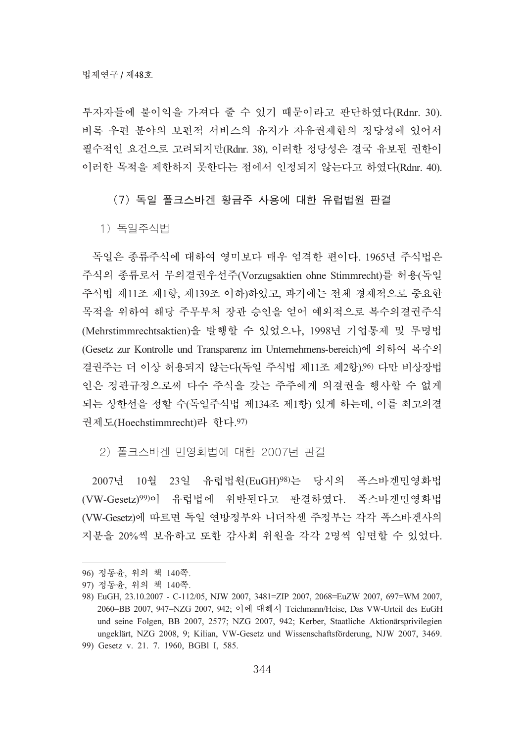투자자들에 불이익을 가져다 줄 수 있기 때문이라고 판단하였다(Rdnr. 30). 비록 우편 분야의 보편적 서비스의 유지가 자유권제한의 정당성에 있어서 필수적인 요건으로 고려되지만(Rdnr. 38), 이러한 정당성은 결국 유보된 권한이 이러한 목적을 제한하지 못한다는 점에서 인정되지 않는다고 하였다(Rdnr. 40).

(7) 독일 폴크스바겐 황금주 사용에 대한 유럽법원 판결

1) 녹일주식법

독일은 종류주식에 대하여 영미보다 매우 엄격한 편이다. 1965년 주식법은 주식의 종류로서 무의결권우선주(Vorzugsaktien ohne Stimmrecht)를 허용(독일 주식법 제11조 제1항, 제139조 이하)하였고, 과거에는 전체 경제적으로 중요한 목적을 위하여 해당 주무부처 장관 승인을 얻어 예외적으로 복수의결권주식 (Mehrstimmrechtsaktien)을 발행할 수 있었으나, 1998년 기업통제 및 투명법 (Gesetz zur Kontrolle und Transparenz im Unternehmens-bereich)에 의하여 복수의 결권주는 더 이상 허용되지 않는다(독일 주식법 제11조 제2항).96) 다만 비상장법 인은 정관규정으로써 다수 주식을 갖는 주주에게 의결권을 행사할 수 없게 되는 상한선을 정할 수(독일주식법 제134조 제1항) 있게 하는데, 이를 최고의결 권제도(Hoechstimmrecht)라 한다.97)

2) 쏠크스바겐 민영화법에 대한 2007년 판결

2007년 10월 23일 유럽법원(EuGH)98)는 당시의 폭스바겐민영화법 (VW-Gesetz)99)이 유럽법에 위반된다고 판결하였다. 폭스바겐민영화법 (VW-Gesetz)에 따르면 독일 연방정부와 니더작센 주정부는 각각 폭스바겐사의 지분을 20%씩 보유하고 또한 감사회 위원을 각각 2명씩 임면할 수 있었다.

<sup>96)</sup> 정동윤, 위의 책 140쪽.

<sup>97)</sup> 정동윤, 위의 책 140쪽.

<sup>98)</sup> EuGH, 23.10.2007 - C-112/05, NJW 2007, 3481=ZIP 2007, 2068=EuZW 2007, 697=WM 2007, 2060=BB 2007, 947=NZG 2007, 942; 이에 대해서 Teichmann/Heise, Das VW-Urteil des EuGH und seine Folgen, BB 2007, 2577; NZG 2007, 942; Kerber, Staatliche Aktionärsprivilegien ungeklärt, NZG 2008, 9; Kilian, VW-Gesetz und Wissenschaftsförderung, NJW 2007, 3469. 99) Gesetz v. 21. 7. 1960, BGBl I, 585.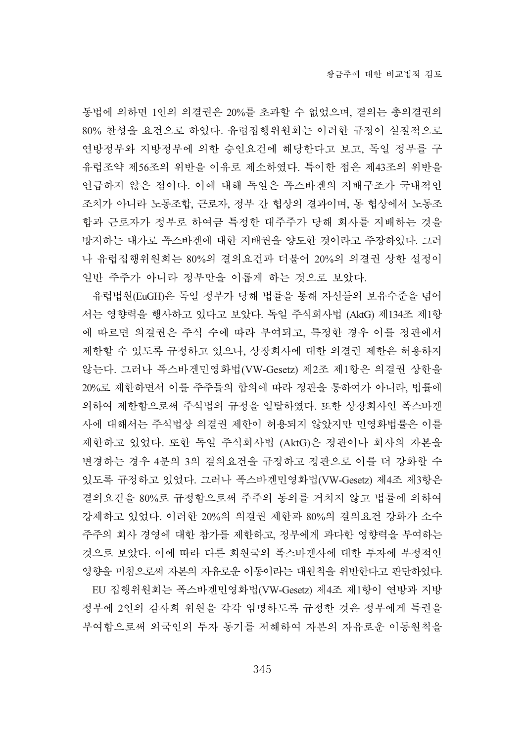동법에 의하면 1인의 의결권은 20%를 초과할 수 없었으며, 결의는 총의결권의 80% 찬성을 요건으로 하였다. 유럽집행위원회는 이러한 규정이 실질적으로 연방정부와 지방정부에 의한 승인요건에 해당한다고 보고, 독일 정부를 구 유럽조약 제56조의 위반을 이유로 제소하였다. 특이한 점은 제43조의 위반을 언급하지 않은 점이다. 이에 대해 독일은 폭스바겐의 지배구조가 국내적인 조치가 아니라 노동조합, 근로자, 정부 간 협상의 결과이며, 동 협상에서 노동조 합과 근로자가 정부로 하여금 특정한 대주주가 당해 회사를 지배하는 것을 방지하는 대가로 폭스바겐에 대한 지배권을 양도한 것이라고 주장하였다. 그러 나 유럽집행위원회는 80%의 결의요건과 더불어 20%의 의결권 상한 설정이 일반 주주가 아니라 정부만을 이롭게 하는 것으로 보았다.

유럽법원(EuGH)은 독일 정부가 당해 법률을 통해 자신들의 보유수준을 넘어 서는 영향력을 행사하고 있다고 보았다. 독일 주식회사법 (AktG) 제134조 제1항 에 따르면 의결권은 주식 수에 따라 부여되고, 특정한 경우 이를 정관에서 제한할 수 있도록 규정하고 있으나, 상장회사에 대한 의결권 제한은 허용하지 않는다. 그러나 폭스바겐민영화법(VW-Gesetz) 제2조 제1항은 의결권 상한을 20%로 제한하면서 이를 주주들의 합의에 따라 정관을 통하여가 아니라, 법률에 의하여 제한함으로써 주식법의 규정을 일탈하였다. 또한 상장회사인 폭스바겐 사에 대해서는 주식법상 의결권 제한이 허용되지 않았지만 민영화법률은 이를 제한하고 있었다. 또한 독일 주식회사법 (AktG)은 정관이나 회사의 자본을 변경하는 경우 4분의 3의 결의요건을 규정하고 정관으로 이를 더 강화할 수 있도록 규정하고 있었다. 그러나 폭스바겐민영화법(VW-Gesetz) 제4조 제3항은 결의요건을 80%로 규정함으로써 주주의 동의를 거치지 않고 법률에 의하여 강제하고 있었다. 이러한 20%의 의결권 제한과 80%의 결의요건 강화가 소수 주주의 회사 경영에 대한 참가를 제한하고, 정부에게 과다한 영향력을 부여하는 것으로 보았다. 이에 따라 다른 회원국의 폭스바겐사에 대한 투자에 부정적인 영향을 미침으로써 자본의 자유로운 이동이라는 대원칙을 위반한다고 판단하였다. EU 집행위원회는 폭스바겐민영화법(VW-Gesetz) 제4조 제1항이 연방과 지방 정부에 2인의 감사회 위원을 각각 임명하도록 규정한 것은 정부에게 특권을 부여함으로써 외국인의 투자 동기를 저해하여 자본의 자유로운 이동원칙을

345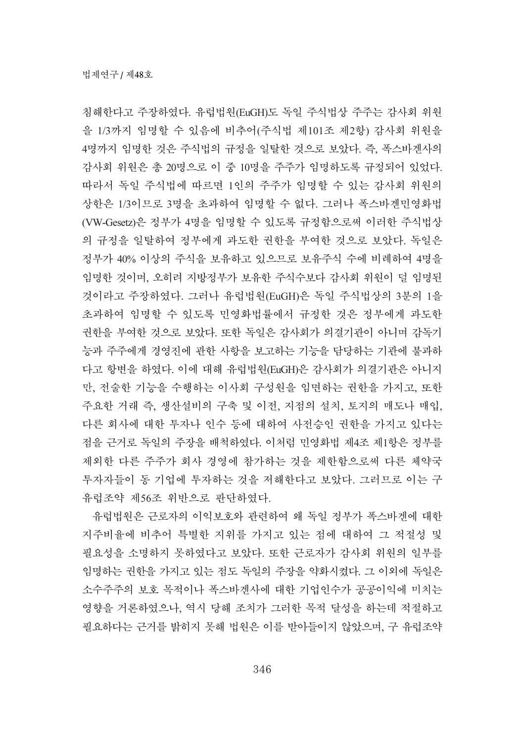침해한다고 주장하였다. 유럽법원(EuGH)도 독일 주식법상 주주는 감사회 위원 을 1/3까지 임명할 수 있음에 비추어(주식법 제101조 제2항) 감사회 위원을 4명까지 임명한 것은 주식법의 규정을 일탈한 것으로 보았다. 즉, 폭스바겐사의 감사회 위원은 총 20명으로 이 중 10명을 주주가 임명하도록 규정되어 있었다. 따라서 독일 주식법에 따르면 1인의 주주가 임명할 수 있는 감사회 위원의 상한은 1/3이므로 3명을 초과하여 임명할 수 없다. 그러나 폭스바겐민영화법 (VW-Gesetz)은 정부가 4명을 임명할 수 있도록 규정함으로써 이러한 주식법상 의 규정을 일탈하여 정부에게 과도한 권한을 부여한 것으로 보았다. 독일은 정부가 40% 이상의 주식을 보유하고 있으므로 보유주식 수에 비례하여 4명을 임명한 것이며, 오히려 지방정부가 보유한 주식수보다 감사회 위원이 덜 임명된 것이라고 주장하였다. 그러나 유럽법원(EuGH)은 독일 주식법상의 3분의 1을 초과하여 임명할 수 있도록 민영화법률에서 규정한 것은 정부에게 과도한 권한을 부여한 것으로 보았다. 또한 독일은 감사회가 의결기관이 아니며 갂독기 능과 주주에게 경영진에 관한 사항을 보고하는 기능을 담당하는 기관에 불과하 다고 항변을 하였다. 이에 대해 유럽법원(EuGH)은 감사회가 의결기관은 아니지 만, 전술한 기능을 수행하는 이사회 구성원을 임면하는 권한을 가지고, 또한 주요한 거래 즉, 생산설비의 구축 및 이전, 지점의 설치, 토지의 매도나 매입, 다른 회사에 대한 투자나 인수 등에 대하여 사전승인 권한을 가지고 있다는 점을 근거로 독일의 주장을 배척하였다. 이처럼 민영화법 제4조 제1항은 정부를 제외한 다른 주주가 회사 경영에 참가하는 것을 제한함으로써 다른 체약국 투자자들이 동 기업에 투자하는 것을 저해한다고 보았다. 그러므로 이는 구 유럽조약 제56조 위반으로 판단하였다.

유럽법원은 근로자의 이익보호와 관련하여 왜 독일 정부가 폭스바겐에 대한 지주비율에 비추어 특별한 지위를 가지고 있는 점에 대하여 그 적절성 및 필요성을 소명하지 못하였다고 보았다. 또한 근로자가 감사회 위원의 일부를 임명하는 권한을 가지고 있는 점도 독일의 주장을 약화시켰다. 그 이외에 독일은 소수주주의 보호 목적이나 폭스바겐사에 대한 기업인수가 공공이익에 미치는 영향을 거론하였으나, 역시 당해 조치가 그러한 목적 달성을 하는데 적절하고 필요하다는 근거를 밝히지 못해 법원은 이를 받아들이지 않았으며, 구 유럽조약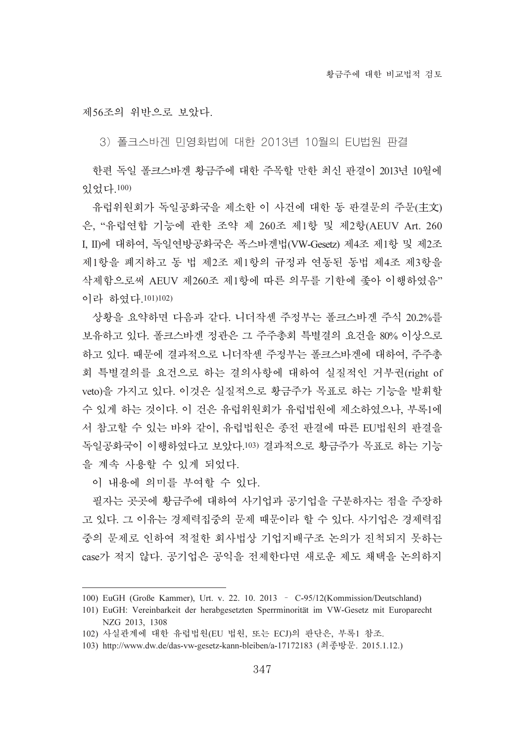제56조의 위반으로 보았다.

3) 폴크스바겐 민영화법에 대한 2013년 10월의 EU법원 판결

한편 독일 폴크스바겐 황금주에 대한 주목할 만한 최신 판결이 2013년 10월에 畵玵惑.100)

유럽위원회가 독일공화국을 제소한 이 사건에 대한 동 판결문의 주문(主文) 은, "유럽연합 기능에 관한 조약 제 260조 제1항 및 제2항(AEUV Art. 260 I, II)에 대하여, 독일연방공화국은 폭스바겐법(VW-Gesetz) 제4조 제1항 및 제2조 제1항을 폐지하고 동 법 제2조 제1항의 규정과 연동된 동법 제4조 제3항을 삭제함으로써 AEUV 제260조 제1항에 따른 의무를 기한에 좋아 이행하였음" 이라 하였다.101)102)

상황을 요약하면 다음과 같다. 니더작센 주정부는 폴크스바겐 주식 20.2%를 보유하고 있다. 폴크스바겐 정관은 그 주주총회 특별결의 요건을 80% 이상으로 하고 있다. 때문에 결과적으로 니더작센 주정부는 폴크스바겐에 대하여, 주주총 회 특별결의를 요건으로 하는 결의사항에 대하여 실질적인 거부권(right of veto)을 가지고 있다. 이것은 실질적으로 황금주가 목표로 하는 기능을 발휘할 수 있게 하는 것이다. 이 건은 유럽위원회가 유럽법원에 제소하였으나, 부록1에 서 참고할 수 있는 바와 같이, 유럽법원은 종전 판결에 따른 EU법원의 판결을 독일공화국이 이행하였다고 보았다.103) 결과적으로 황금주가 목표로 하는 기능 을 계속 사용할 수 있게 되었다.

이 내용에 의미를 부여할 수 있다.

필자는 곳곳에 황금주에 대하여 사기업과 공기업을 구분하자는 점을 주장하 고 있다. 그 이유는 경제력집중의 문제 때문이라 할 수 있다. 사기업은 경제력집 중의 문제로 인하여 적절한 회사법상 기업지배구조 논의가 진척되지 못하는 case가 적지 않다. 공기업은 공익을 전제한다면 새로운 제도 채택을 논의하지

<sup>100)</sup> EuGH (Große Kammer), Urt. v. 22. 10. 2013 - C-95/12(Kommission/Deutschland)

<sup>101)</sup> EuGH: Vereinbarkeit der herabgesetzten Sperrminorität im VW-Gesetz mit Europarecht NZG 2013, 1308

<sup>102)</sup> 사실관계에 대한 유럽법원(EU 법원, 또는 ECJ)의 판단은, 부록1 참조.

<sup>103)</sup> http://www.dw.de/das-vw-gesetz-kann-bleiben/a-17172183 (等癲樖椥. 2015.1.12.)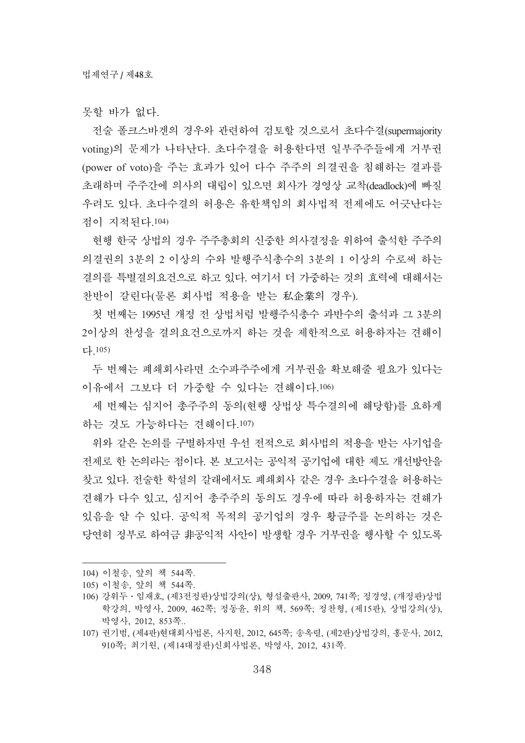못할 바가 없다.

전술 폴크스바겐의 경우와 관련하여 검토할 것으로서 초다수결(supermajority voting)의 문제가 나타난다. 초다수결을 허용한다면 일부주주들에게 거부권 (power of voto)을 주는 효과가 있어 다수 주주의 의결권을 침해하는 결과를 초래하며 주주간에 의사의 대립이 있으면 회사가 경영상 교착(deadlock)에 빠질 우려도 있다. 초다수결의 허용은 유한책임의 회사법적 전제에도 어긋난다는 점이 지적된다.104)

현행 한국 상법의 경우 주주총회의 신중한 의사결정을 위하여 출석한 주주의 의결권의 3부의 2 이상의 수와 발행주식총수의 3부의 1 이상의 수로써 하는 결의를 특별결의요건으로 하고 있다. 여기서 더 가중하는 것의 효력에 대해서는 찬반이 갈린다(물론 회사법 적용을 받는 私企業의 경우).

첫 번째는 1995년 개정 전 상법처럼 발행주식총수 과반수의 출석과 그 3분의 2이상의 찬성을 결의요건으로까지 하는 것을 제한적으로 허용하자는 견해이  $L.105$ 

두 번째는 폐쇄회사라면 소수파주주에게 거부권을 확보해줄 필요가 있다는 이유에서 그보다 더 가중할 수 있다는 견해이다.106)

세 번째는 심지어 총주주의 동의(현행 상법상 특수결의에 해당함)를 요하게 하는 것도 가능하다는 견해이다.107)

위와 같은 논의를 구별하자면 우선 전적으로 회사법의 적용을 받는 사기업을 전제로 한 논의라는 점이다. 본 보고서는 공익적 공기업에 대한 제도 개선방안을 창고 있다. 저술한 학설의 갈래에서도 폐쇄회사 같은 경우 초다수결을 허용하는 견해가 다수 있고, 심지어 총주주의 동의도 경우에 따라 허용하자는 견해가 있음을 알 수 있다. 공익적 목적의 공기업의 경우 황금주를 논의하는 것은 당연히 정부로 하여금 非공익적 사안이 발생할 경우 거부권을 행사할 수 있도록

<sup>104)</sup> 이철송, 앞의 책 544쪽.

<sup>105)</sup> 이철송, 앞의 책 544쪽.

<sup>106)</sup> 강위두 · 임재호, (제3전정판)상법강의(상), 형설출판사, 2009, 741쪽; 정경영, (개정판)상법 학강의, 박영사, 2009, 462쪽; 정동윤, 위의 책, 569쪽; 정찬형, (제15판), 상법강의(상), 박영사, 2012, 853쪽..

<sup>107)</sup> 권기범, (제4판)현대회사법론, 사지원, 2012, 645쪽; 송옥렬, (제2판)상법강의, 홍문사, 2012, 910쪽; 최기원, (제14대정판)신회사법론, 박영사, 2012, 431쪽.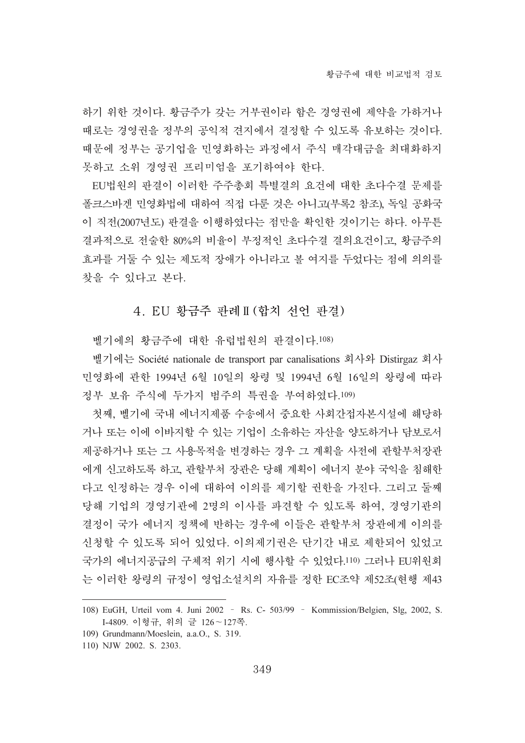하기 위한 것이다. 황금주가 갖는 거부권이라 함은 경영권에 제약을 가하거나 때로는 경영권을 정부의 공익적 견지에서 결정할 수 있도록 유보하는 것이다. 때문에 정부는 공기업을 민영화하는 과정에서 주식 매각대금을 최대화하지 못하고 소위 경영권 프리미엄을 포기하여야 한다.

EU법원의 판결이 이러한 주주총회 특별결의 요건에 대한 초다수결 문제를 폴크스바겐 민영화법에 대하여 직접 다룬 것은 아니고(부록2 참조), 독일 공화국 이 직전(2007년도) 판결을 이행하였다는 점만을 확인한 것이기는 하다. 아무튼 결과적으로 전술한 80%의 비율이 부정적인 초다수결 결의요건이고, 황금주의 효과를 거둘 수 있는 제도적 장애가 아니라고 볼 여지를 두었다는 점에 의의를 찾을 수 있다고 본다.

# 4. EU 황금주 판례Ⅱ(합치 선언 판결)

벨기에의 황금주에 대한 유럽법원의 판결이다.108)

벨기에는 Société nationale de transport par canalisations 회사와 Distirgaz 회사 민영화에 관한 1994년 6월 10일의 왕령 및 1994년 6월 16일의 왕령에 따라 정부 보유 주식에 두가지 범주의 특권을 부여하였다.109)

첫째, 벨기에 국내 에너지제품 수송에서 중요한 사회간접자본시설에 해당하 거나 또는 이에 이바지할 수 있는 기업이 소유하는 자산을 양도하거나 담보로서 제공하거나 또는 그 사용목적을 변경하는 경우 그 계획을 사전에 관할부처장관 에게 신고하도록 하고, 관할부처 장관은 당해 계획이 에너지 분야 국익을 침해한 다고 인정하는 경우 이에 대하여 이의를 제기할 권하을 가진다. 그리고 둘째 당해 기업의 경영기관에 2명의 이사를 파견할 수 있도록 하여, 경영기관의 결정이 국가 에너지 정책에 반하는 경우에 이들은 관할부처 장관에게 이의를 신청할 수 있도록 되어 있었다. 이의제기권은 단기간 내로 제한되어 있었고 국가의 에너지공급의 구체적 위기 시에 행사할 수 있었다.110) 그러나 EU위원회 는 이러한 왕령의 규정이 영업소설치의 자유를 정한 EC조약 제52조(현행 제43

<sup>108)</sup> EuGH, Urteil vom 4. Juni 2002 - Rs. C- 503/99 - Kommission/Belgien, Slg, 2002, S. I-4809. 이형규, 위의 글 126~127쪽.

<sup>109)</sup> Grundmann/Moeslein, a.a.O., S. 319.

<sup>110)</sup> NJW 2002. S. 2303.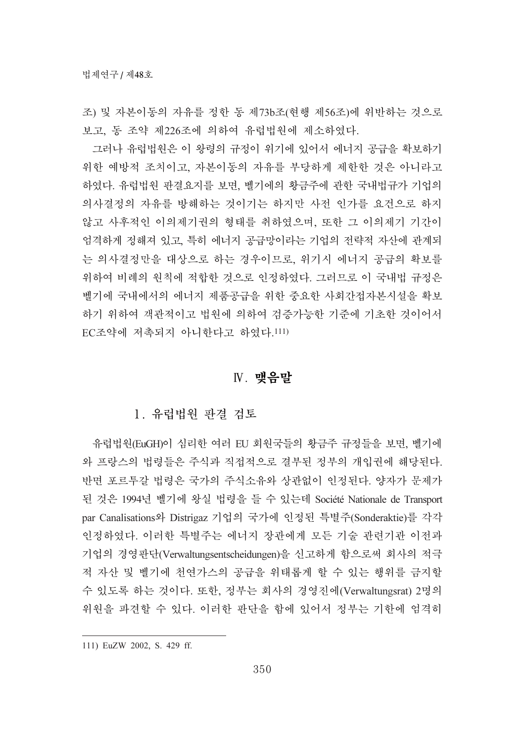조) 및 자본이동의 자유를 정한 동 제73b조(현행 제56조)에 위반하는 것으로 보고, 동 조약 제226조에 의하여 유럽법원에 제소하였다.

그러나 유럽법원은 이 왕령의 규정이 위기에 있어서 에너지 공급을 확보하기 위한 예방적 조치이고, 자본이동의 자유를 부당하게 제한한 것은 아니라고 하였다. 유럽법원 판결요지를 보면, 벨기에의 황금주에 관한 국내법규가 기업의 의사결정의 자유를 방해하는 것이기는 하지만 사전 인가를 요건으로 하지 않고 사후적인 이의제기권의 형태를 취하였으며, 또한 그 이의제기 기간이 엄격하게 정해져 있고, 특히 에너지 공급망이라는 기업의 전략적 자산에 관계되 는 의사결정만을 대상으로 하는 경우이므로, 위기시 에너지 공급의 확보를 위하여 비례의 원칙에 적합한 것으로 인정하였다. 그러므로 이 국내법 규정은 벨기에 국내에서의 에너지 제품공급을 위한 중요한 사회간접자본시설을 확보 하기 위하여 객관적이고 법원에 의하여 검증가능한 기준에 기초한 것이어서 EC조약에 저촉되지 아니한다고 하였다.111)

### **N.** 맺음말

# 1. 유럽법원 파결 검토

유럽법원(EuGH)이 심리한 여러 EU 회원국들의 황금주 규정들을 보면, 벨기에 와 프랑스의 법령들은 주식과 직접적으로 결부된 정부의 개입권에 해당된다. 반면 포르투갈 법령은 국가의 주식소유와 상관없이 인정된다. 양자가 문제가 된 것은 1994년 벨기에 왕실 법령을 들 수 있는데 Société Nationale de Transport par Canalisations와 Distrigaz 기업의 국가에 인정된 특별주(Sonderaktie)를 각각 인정하였다. 이러한 특별주는 에너지 장관에게 모든 기술 관련기관 이전과 기업의 경영판단(Verwaltungsentscheidungen)을 신고하게 함으로써 회사의 적극 적 자산 및 벨기에 천연가스의 공급을 위태롭게 할 수 있는 행위를 금지할 수 있도록 하는 것이다. 또한, 정부는 회사의 경영진에(Verwaltungsrat) 2명의 위원을 파견할 수 있다. 이러한 판단을 함에 있어서 정부는 기한에 엄격히

<sup>111)</sup> EuZW 2002, S. 429 ff.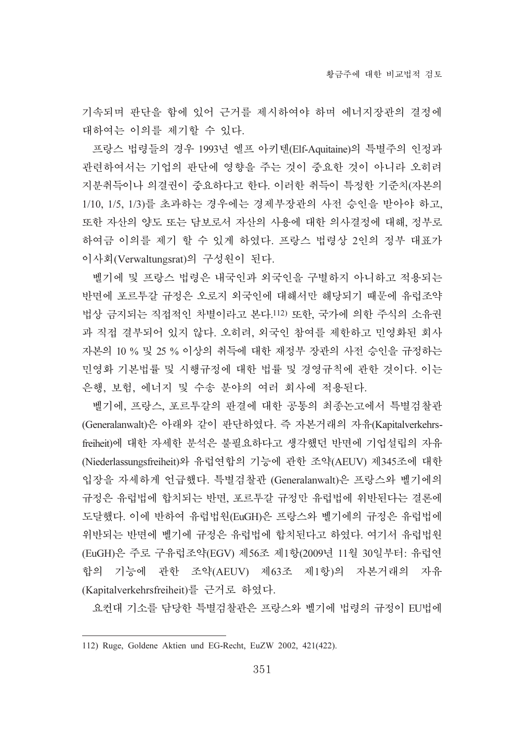기속되며 판단을 함에 있어 근거를 제시하여야 하며 에너지장관의 결정에 대하여는 이의를 제기할 수 있다.

프랑스 법령들의 경우 1993년 엘프 아키텐(Elf-Aquitaine)의 특별주의 인정과 관련하여서는 기업의 판단에 영향을 주는 것이 중요한 것이 아니라 오히려 지분취득이나 의결권이 중요하다고 한다. 이러한 취득이 특정한 기준치(자본의 1/10, 1/5, 1/3)를 초과하는 경우에는 경제부장관의 사전 승인을 받아야 하고, 또한 자산의 양도 또는 담보로서 자산의 사용에 대한 의사결정에 대해, 정부로 하여금 이의를 제기 할 수 있게 하였다. 프랑스 법령상 2인의 정부 대표가 이사회(Verwaltungsrat)의 구성원이 된다.

벨기에 및 프랑스 법령은 내국인과 외국인을 구별하지 아니하고 적용되는 반면에 포르투갈 규정은 오로지 외국인에 대해서만 해당되기 때문에 유럽조약 법상 금지되는 직접적인 차별이라고 본다.!12) 또한, 국가에 의한 주식의 소유권 과 직접 결부되어 있지 않다. 오히려, 외국인 참여를 제한하고 민영화된 회사 자본의 10 % 및 25 % 이상의 취득에 대한 재정부 장관의 사전 승인을 규정하는 민영화 기본법률 및 시행규정에 대한 법률 및 경영규칙에 관한 것이다. 이는 은행, 보험, 에너지 및 수송 분야의 여러 회사에 적용된다.

벨기에, 프랑스, 포르투갈의 판결에 대한 공통의 최종논고에서 특별검찰관 (Generalanwalt)은 아래와 같이 판단하였다. 즉 자본거래의 자유(Kapitalverkehrsfreiheit)에 대한 자세한 분석은 불필요하다고 생각했던 반면에 기업설립의 자유 (Niederlassungsfreiheit)와 유럽연합의 기능에 관한 조약(AEUV) 제345조에 대한 입장을 자세하게 언급했다. 특별검찰관 (Generalanwalt)은 프랑스와 벨기에의 규정은 유럽법에 합치되는 반면, 포르투갈 규정만 유럽법에 위반된다는 결론에 도달했다. 이에 반하여 유럽법원(EuGH)은 프랑스와 벨기에의 규정은 유럽법에 위반되는 반면에 벨기에 규정은 유럽법에 합치된다고 하였다. 여기서 유럽법원 (EuGH)은 주로 구유럽조약(EGV) 제56조 제1항(2009년 11월 30일부터: 유럽연 합의 기능에 관한 조약(AEUV) 제63조 제1항)의 자본거래의 자유 (Kapitalverkehrsfreiheit)를 근거로 하였다.

요컨대 기소를 담당한 특별검찰관은 프랑스와 벨기에 법령의 규정이 EU법에

<sup>112)</sup> Ruge, Goldene Aktien und EG-Recht, EuZW 2002, 421(422).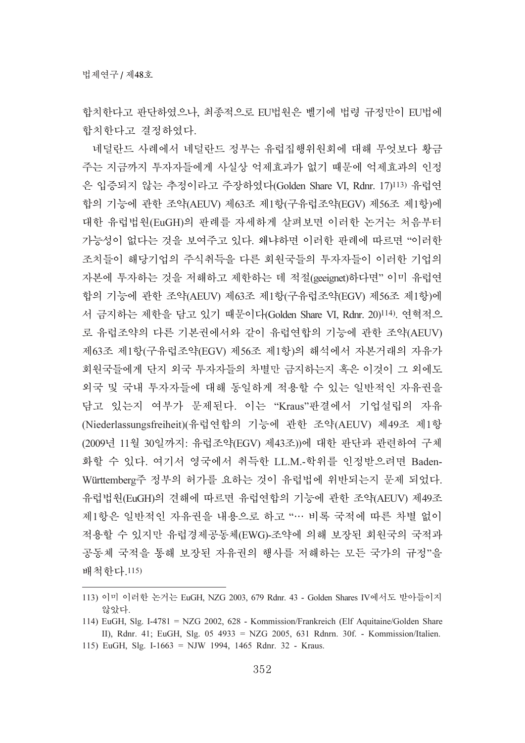합치한다고 판단하였으나, 최종적으로 EU법원은 벨기에 법령 규정만이 EU법에 합치한다고 결정하였다.

네덜란드 사례에서 네덜란드 정부는 유럽집행위원회에 대해 무엇보다 황금 주는 지금까지 투자자들에게 사실상 억제효과가 없기 때문에 억제효과의 인정 은 입증되지 않는 추정이라고 주장하였다(Golden Share VI, Rdnr. 17)<sup>113)</sup> 유럽연 합의 기능에 관한 조약(AEUV) 제63조 제1항(구유럽조약(EGV) 제56조 제1항)에 대한 유럽법원(EuGH)의 판례를 자세하게 살펴보면 이러한 논거는 처음부터 가능성이 없다는 것을 보여주고 있다. 왜냐하면 이러한 판례에 따르면 "이러한 조치들이 해당기업의 주식취득을 다른 회원국들의 투자자들이 이러한 기업의 자본에 투자하는 것을 저해하고 제한하는 데 적절(geeignet)하다면" 이미 유럽연 합의 기능에 관한 조약(AEUV) 제63조 제1항(구유럽조약(EGV) 제56조 제1항)에 서 금지하는 제한을 담고 있기 때문이다(Golden Share VI, Rdnr. 20)<sup>114)</sup>. 연혁적으 로 유럽조약의 다른 기본권에서와 같이 유럽연합의 기능에 관한 조약(AEUV) 제63조 제1항(구유럽조약(EGV) 제56조 제1항)의 해석에서 자본거래의 자유가 회원국들에게 단지 외국 투자자들의 차별만 금지하는지 혹은 이것이 그 외에도 외국 및 국내 투자자들에 대해 동일하게 적용할 수 있는 일반적인 자유권을 담고 있는지 여부가 문제된다. 이는 "Kraus"판결에서 기업설립의 자유 (Niederlassungsfreiheit)(유럽연합의 기능에 관한 조약(AEUV) 제49조 제1항 (2009년 11월 30일까지: 유럽조약(EGV) 제43조))에 대한 판단과 관련하여 구체 화할 수 있다. 여기서 영국에서 취득한 LL.M.-학위를 인정받으려면 Baden-Württemberg주 정부의 허가를 요하는 것이 유럽법에 위반되는지 문제 되었다. 유럽법원(EuGH)의 견해에 따르면 유럽연합의 기능에 관한 조약(AEUV) 제49조 제1항은 일반적인 자유권을 내용으로 하고 "… 비록 국적에 따른 차별 없이 적용할 수 있지만 유럽경제공동체(EWG)-조약에 의해 보장된 회원국의 국적과 공동체 국적을 통해 보장된 자유권의 행사를 저해하는 모든 국가의 규정"을 배척한다.115)

<sup>113)</sup> 이미 이러한 논거는 EuGH, NZG 2003, 679 Rdnr. 43 - Golden Shares IV에서도 받아들이지 않았다.

<sup>114)</sup> EuGH, Slg. I-4781 = NZG 2002, 628 - Kommission/Frankreich (Elf Aquitaine/Golden Share II), Rdnr. 41; EuGH, Slg. 05 4933 = NZG 2005, 631 Rdnrn. 30f. - Kommission/Italien. 115) EuGH, Slg. I-1663 = NJW 1994, 1465 Rdnr. 32 - Kraus.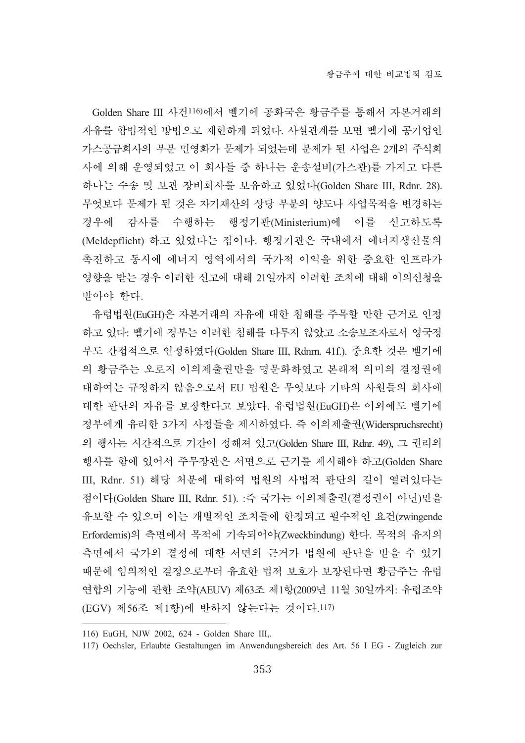Golden Share III 사건116)에서 벨기에 공화국은 황금주를 통해서 자본거래의 자유를 합법적인 방법으로 제한하게 되었다. 사실관계를 보면 벨기에 공기업인 가스공급회사의 부분 민영화가 문제가 되었는데 분제가 된 사업은 2개의 주식회 사에 의해 운영되었고 이 회사들 중 하나는 운송설비(가스관)를 가지고 다른 하나는 수송 및 보관 장비회사를 보유하고 있었다(Golden Share III, Rdnr. 28). 무엇보다 문제가 된 것은 자기재산의 상당 부분의 양도나 사업목적을 변경하는 경우에 감사를 수행하는 행정기관(Ministerium)에 이를 신고하도록 (Meldepflicht) 하고 있었다는 점이다. 행정기관은 국내에서 에너지생산물의 촉진하고 동시에 에너지 영역에서의 국가적 이익을 위한 중요한 인프라가 영향을 받는 경우 이러한 신고에 대해 21일까지 이러한 조치에 대해 이의신청을 받아야 한다.

유럽법원(EuGH)은 자본거래의 자유에 대한 침해를 주목할 만한 근거로 인정 하고 있다: 벨기에 정부는 이러한 침해를 다투지 않았고 소송보조자로서 영국정 부도 간접적으로 인정하였다(Golden Share III, Rdnrn. 41f.). 중요한 것은 벨기에 의 황금주는 오로지 이의제출권만을 명문화하였고 본래적 의미의 결정권에 대하여는 규정하지 않음으로서 EU 법원은 무엇보다 기타의 사원들의 회사에 대한 판단의 자유를 보장한다고 보았다. 유럽법원(EuGH)은 이외에도 벨기에 정부에게 유리한 3가지 사정들을 제시하였다. 즉 이의제출권(Widerspruchsrecht) 의 행사는 시간적으로 기간이 정해져 있고(Golden Share III, Rdnr. 49), 그 권리의 행사를 함에 있어서 주무장관은 서면으로 근거를 제시해야 하고(Golden Share III, Rdnr. 51) 해당 처분에 대하여 법원의 사법적 판단의 길이 열려있다는 점이다(Golden Share III, Rdnr. 51). :즉 국가는 이의제출권(결정권이 아닌)만을 유보할 수 있으며 이는 개별적인 조치들에 한정되고 필수적인 요건(zwingende Erfordernis)의 측면에서 목적에 기속되어야(Zweckbindung) 한다. 목적의 유지의 측면에서 국가의 결정에 대한 서면의 근거가 법원에 판단을 받을 수 있기 때문에 임의적인 결정으로부터 유효한 법적 보호가 보장된다면 황금주는 유럽 연합의 기능에 관한 조약(AEUV) 제63조 제1항(2009년 11월 30일까지: 유럽조약 (EGV) 제56조 제1항)에 반하지 않는다는 것이다.117)

<sup>116)</sup> EuGH, NJW 2002, 624 - Golden Share III,.

<sup>117)</sup> Oechsler, Erlaubte Gestaltungen im Anwendungsbereich des Art. 56 I EG - Zugleich zur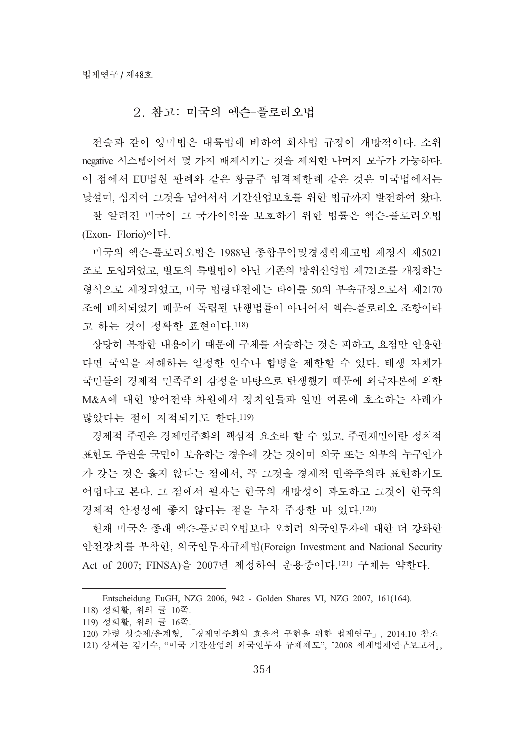# 2. 참고: 미국의 엑수-플로리오법

전술과 같이 영미법은 대륙법에 비하여 회사법 규정이 개방적이다. 소위 negative 시스템이어서 몇 가지 배제시키는 것을 제외한 나머지 모두가 가능하다. 이 점에서 EU법원 판례와 같은 황금주 엄격제한례 같은 것은 미국법에서는 낳설며, 심지어 그것을 넘어서서 기간산업보호를 위한 법규까지 발전하여 왔다.

잘 알려진 미국이 그 국가이익을 보호하기 위한 법률은 엑슨-플로리오법 (Exon-Florio)이다.

미국의 엑슨-플로리오법은 1988년 종합무역및경쟁력제고법 제정시 제5021 조로 도입되었고, 별도의 특별법이 아닌 기존의 방위산업법 제721조를 개정하는 형식으로 제정되었고, 미국 법령대전에는 타이틀 50의 부속규정으로서 제2170 조에 배치되었기 때문에 독립된 단행법률이 아니어서 엑슨-플로리오 조항이라 고 하는 것이 정확한 표현이다.118)

상당히 복잡한 내용이기 때문에 구체를 서술하는 것은 피하고, 요점만 인용한 다면 국익을 저해하는 일정한 인수나 합병을 제한할 수 있다. 태생 자체가 국민들의 경제적 민족주의 감정을 바탕으로 탄생했기 때문에 외국자본에 의한 M&A에 대한 방어전략 차원에서 정치인들과 일반 여론에 호소하는 사례가 많았다는 점이 지적되기도 한다.119)

경제적 주권은 경제민주화의 핵심적 요소라 할 수 있고, 주권재민이란 정치적 표현도 주권을 국민이 보유하는 경우에 갖는 것이며 외국 또는 외부의 누구인가 가 갖는 것은 옳지 않다는 점에서, 꼭 그것을 경제적 민족주의라 표현하기도 어렵다고 본다. 그 점에서 필자는 한국의 개방성이 과도하고 그것이 한국의 경제적 안정성에 좋지 않다는 점을 누차 주장한 바 있다.120)

현재 미국은 종래 엑슨-플로리오법보다 오히려 외국인투자에 대한 더 강화한 안전장치를 부착한, 외국인투자규제법(Foreign Investment and National Security Act of 2007; FINSA)을 2007년 제정하여 운용중이다.<sup>121)</sup> 구체는 약한다.

Entscheidung EuGH, NZG 2006, 942 - Golden Shares VI, NZG 2007, 161(164).

<sup>118)</sup> 성희활, 위의 글 10쪽.

<sup>119)</sup> 성희활, 위의 글 16쪽.

<sup>120)</sup> 가령 성승제/윤계형, 「경제민주화의 효율적 구현을 위한 법제연구」, 2014.10 참조

<sup>121)</sup> 상세는 김기수, "미국 기간산업의 외국인투자 규제제도", 「2008 세계법제연구보고서」,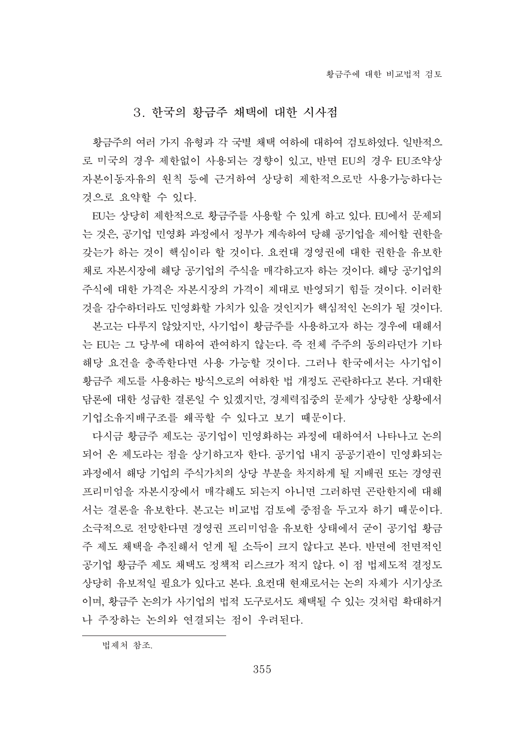# 3. 한국의 황금주 채택에 대한 시사점

황금주의 여러 가지 유형과 각 국별 채택 여하에 대하여 걲토하였다. 일반적으 로 미국의 경우 제한없이 사용되는 경향이 있고, 반면 EU의 경우 EU조약상 자본이동자유의 원칙 등에 근거하여 상당히 제한적으로만 사용가능하다는 것으로 요약할 수 있다.

EU는 상당히 제한적으로 황금주를 사용할 수 있게 하고 있다. EU에서 문제되 는 것은, 공기업 민영화 과정에서 정부가 계속하여 당해 공기업을 제어할 권한을 갖는가 하는 것이 핵심이라 할 것이다. 요컨대 경영권에 대한 권한을 유보한 채로 자본시장에 해당 공기업의 주식을 매각하고자 하는 것이다. 해당 공기업의 주식에 대한 가격은 자본시장의 가격이 제대로 반영되기 힘들 것이다. 이러한 것을 감수하더라도 민영화할 가치가 있을 것인지가 핵심적인 논의가 될 것이다.

본고는 다루지 않았지만, 사기업이 황금주를 사용하고자 하는 경우에 대해서 는 EU는 그 당부에 대하여 관여하지 않는다. 즉 전체 주주의 동의라던가 기타 해당 요건을 충족한다면 사용 가능할 것이다. 그러나 한국에서는 사기업이 황금주 제도를 사용하는 방식으로의 여하한 법 개정도 곤란하다고 본다. 거대한 담론에 대한 성급한 결론일 수 있겠지만, 경제력집중의 문제가 상당한 상황에서 기업소유지배구조를 왜곡할 수 있다고 보기 때문이다.

다시금 황금주 제도는 공기업이 민영화하는 과정에 대하여서 나타나고 논의 되어 온 제도라는 점을 상기하고자 한다. 공기업 내지 공공기관이 민영화되는 과정에서 해당 기업의 주식가치의 상당 부분을 차지하게 될 지배권 또는 경영권 프리미엄을 자본시장에서 매각해도 되는지 아니면 그러하면 곤란한지에 대해 서는 결론을 유보한다. 본고는 비교법 검토에 중점을 두고자 하기 때문이다. 소극적으로 전망한다면 경영권 프리미엄을 유보한 상태에서 굳이 공기업 황금 주 제도 채택을 추진해서 얻게 될 소득이 크지 않다고 본다. 반면에 전면적인 공기업 황금주 제도 채택도 정책적 리스크가 적지 않다. 이 점 법제도적 결정도 상당히 유보적일 필요가 있다고 본다. 요컨대 현재로서는 논의 자체가 시기상조 이며, 황금주 논의가 사기업의 법적 도구로서도 채택될 수 있는 것처럼 확대하거 나 주장하는 논의와 연결되는 점이 우려된다.

법제처 참조.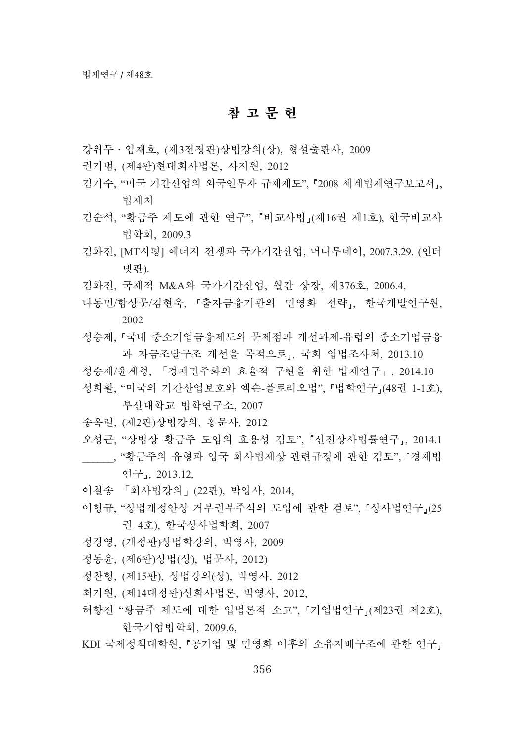# 참 고 무 허

- 강위두 · 임재호, (제3전정판)상법강의(상), 형설출판사, 2009
- 권기범. (제4판)현대회사법론, 사지원, 2012
- 김기수, "미국 기간산업의 외국인투자 규제제도", 『2008 세계법제연구보고서』, 법제처
- 김순석, "황금주 제도에 관한 연구", 「비교사법」(제16권 제1호), 한국비교사 법학회, 2009.3
- 김화진, [MT시평] 에너지 전쟁과 국가기간산업, 머니투데이, 2007.3.29. (인터 넷파).
- 김화진, 국제적 M&A와 국가기간산업, 월간 상장, 제376호, 2006.4,
- 나동민/함상문/김현욱, 『출자금융기관의 민영화 전략』, 한국개발연구원, 2002
- 성승제, 『국내 중소기업금융제도의 문제점과 개선과제-유럽의 중소기업금융 과 자금조달구조 개선을 목적으로, 국회 입법조사처, 2013.10
- 성승제/유계형, 「경제민주화의 효율적 구현을 위한 법제연구」, 2014.10
- 성희활, "미국의 기간산업보호와 엑슨-플로리오법", 「법학연구」(48권 1-1호),

### 부산대학교 법학여구소, 2007

- 송옥렬, (제2판)상법강의, 홍문사, 2012
- 오성근, "상법상 황금주 도입의 효용성 검토", 「선진상사법률연구」, 2014.1 , "황금주의 유형과 영국 회사법제상 관련규정에 관한 검토", 「경제법 연구,, 2013.12,
- 이철송 「회사법강의」(22판), 박영사, 2014,
- 이형규, "상법개정안상 거부권부주식의 도입에 과하 검토", 『상사법역구』(25 권 4호), 한국상사법학회, 2007
- 정경영, (개정판)상법학강의, 박영사, 2009
- 정동윤, (제6판)상법(상), 법문사, 2012)
- 정찬형, (제15판), 상법강의(상), 박영사, 2012
- 최기원, (제14대정판)신회사법론, 박영사, 2012,
- 허항진 "황금주 제도에 대한 입법론적 소고", 『기업법연구』(제23권 제2호), 한국기업법학회, 2009.6,
- KDI 국제정책대학원, 「공기업 및 민영화 이후의 소유지배구조에 관한 연구」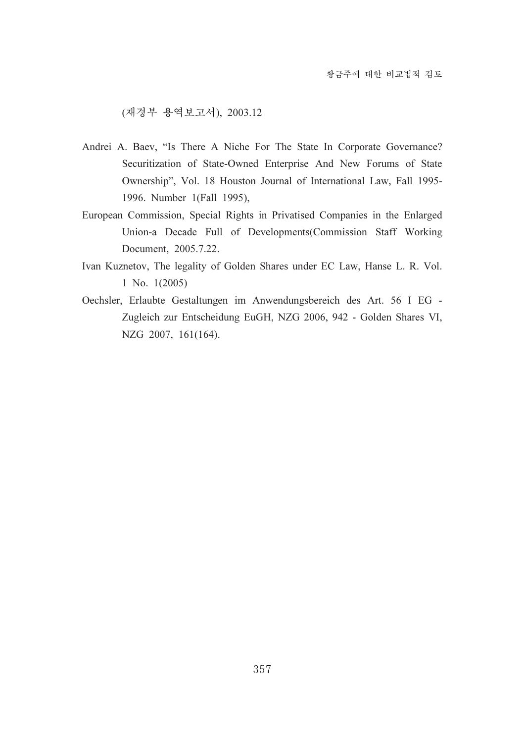(재경부 용역보고서), 2003.12

- Andrei A. Baev, "Is There A Niche For The State In Corporate Governance? Securitization of State-Owned Enterprise And New Forums of State Ownership", Vol. 18 Houston Journal of International Law, Fall 1995- 1996. Number 1(Fall 1995),
- European Commission, Special Rights in Privatised Companies in the Enlarged Union-a Decade Full of Developments(Commission Staff Working Document, 2005.7.22.
- Ivan Kuznetov, The legality of Golden Shares under EC Law, Hanse L. R. Vol. 1 No. 1(2005)
- Oechsler, Erlaubte Gestaltungen im Anwendungsbereich des Art. 56 I EG Zugleich zur Entscheidung EuGH, NZG 2006, 942 - Golden Shares VI, NZG 2007, 161(164).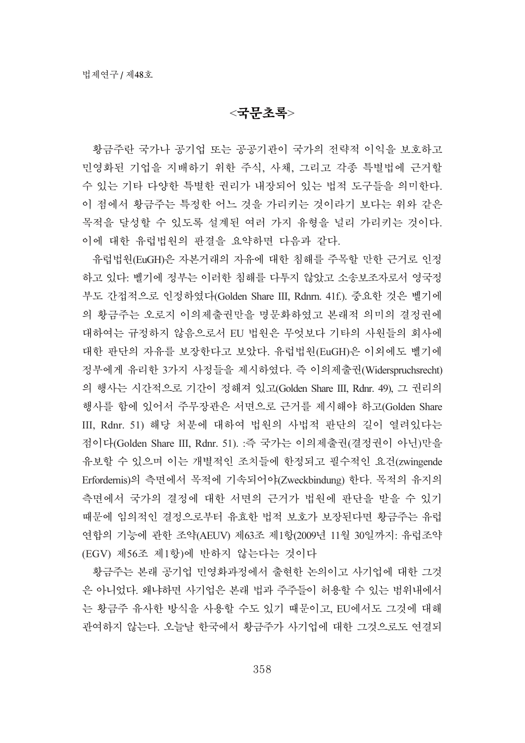# $<$ 국무초록>

황금주란 국가나 공기업 또는 공공기관이 국가의 전략적 이익을 보호하고 민영화된 기업을 지배하기 위한 주식, 사채, 그리고 각종 특별법에 근거할 수 있는 기타 다양한 특별한 권리가 내장되어 있는 법적 도구들을 의미한다. 이 점에서 황금주는 특정한 어느 것을 가리키는 것이라기 보다는 위와 같은 목적을 달성할 수 있도록 설계된 여러 가지 유형을 널리 가리키는 것이다. 이에 대한 유럽법원의 판결을 요약하면 다음과 같다.

유럽법원(EuGH)은 자본거래의 자유에 대한 침해를 주목할 만한 근거로 인정 하고 있다. 벨기에 정부는 이러한 침해를 다투지 않았고 소송보조자로서 영국정 부도 간접적으로 인정하였다(Golden Share III, Rdnrn. 41f.). 중요한 것은 벨기에 의 황금주는 오로지 이의제출권만을 명문화하였고 본래적 의미의 결정권에 대하여는 규정하지 않음으로서 EU 법원은 무엇보다 기타의 사원들의 회사에 대한 판단의 자유를 보장한다고 보았다. 유럽법원(EuGH)은 이외에도 벨기에 정부에게 유리한 3가지 사정들을 제시하였다. 즉 이의제출권(Widerspruchsrecht) 의 행사는 시간적으로 기간이 정해져 있고(Golden Share III, Rdnr. 49), 그 권리의 행사를 함에 있어서 주무장관은 서면으로 근거를 제시해야 하고(Golden Share III, Rdnr. 51) 해당 처분에 대하여 법원의 사법적 판단의 길이 열려있다는 점이다(Golden Share III, Rdnr. 51). :즉 국가는 이의제출권(결정권이 아닌)만을 유보할 수 있으며 이는 개별적인 조치들에 한정되고 필수적인 요건(zwingende Erfordernis)의 측면에서 목적에 기속되어야(Zweckbindung) 한다. 목적의 유지의 측면에서 국가의 결정에 대한 서면의 근거가 법원에 판단을 받을 수 있기 때문에 임의적인 결정으로부터 유효한 법적 보호가 보장된다면 황금주는 유럽 연합의 기능에 관한 조약(AEUV) 제63조 제1항(2009년 11월 30일까지: 유럽조약 (EGV) 제56조 제1항)에 반하지 않는다는 것이다

황금주는 본래 공기업 민영화과정에서 출현한 논의이고 사기업에 대한 그것 은 아니었다. 왜냐하면 사기업은 본래 법과 주주들이 허용할 수 있는 범위내에서 는 황금주 유사한 방식을 사용할 수도 있기 때문이고, EU에서도 그것에 대해 관여하지 않는다. 오늘날 한국에서 황금주가 사기업에 대한 그것으로도 연결되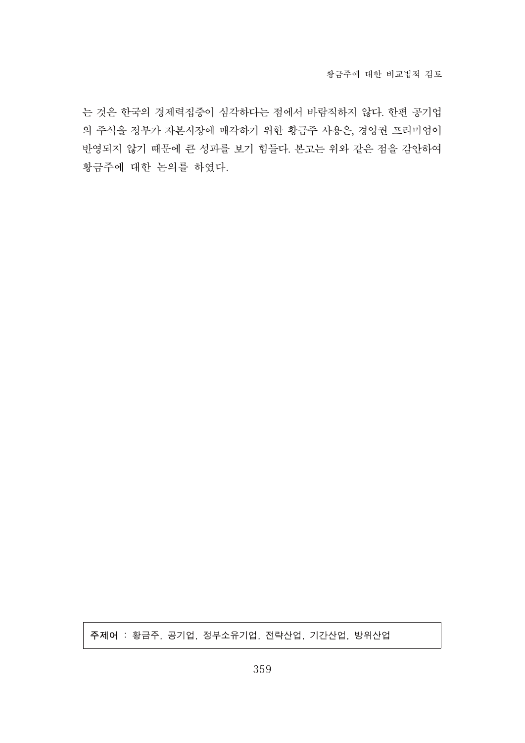는 것은 한국의 경제력집중이 심각하다는 점에서 바람직하지 않다. 한편 공기업 의 주식을 정부가 자본시장에 매각하기 위한 황금주 사용은, 경영권 프리미엄이 반영되지 않기 때문에 큰 성과를 보기 힘들다. 본고는 위와 같은 점을 감안하여 황금주에 대한 논의를 하였다.

주제어 : 황금주, 공기업, 정부소유기업, 전략산업, 기간산업, 방위산업